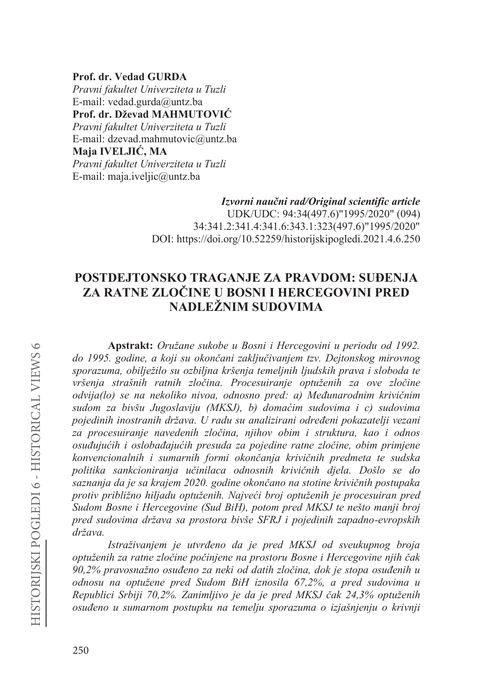Prof. dr. Vedad GURDA Pravni fakultet Univerziteta u Tuzli E-mail: vedad.gurda@untz.ba Prof. dr. Dževad MAHMUTOVIĆ Pravni fakultet Univerziteta u Tuzli E-mail: dzevad.mahmutovic@untz.ba Maja IVELJIĆ, MA Pravni fakultet Univerziteta u Tuzli E-mail: maja.iveljic@untz.ba

> Izvorni naučni rad/Original scientific article UDK/UDC: 94:34(497.6)"1995/2020" (094) 34:341.2:341.4:341.6:343.1:323(497.6)"1995/2020" DOI: https://doi.org/10.52259/historijskipogledi.2021.4.6.250

# POSTDEJTONSKO TRAGANJE ZA PRAVDOM: SUĐENJA ZA RATNE ZLOČINE U BOSNI I HERCEGOVINI PRED NADLEŽNIM SUDOVIMA

Apstrakt: Oružane sukobe u Bosni i Hercegovini u periodu od 1992. do 1995. godine, a koji su okončani zaključivanjem tzv. Dejtonskog mirovnog sporazuma, obilježilo su ozbiljna kršenja temeljnih ljudskih prava i sloboda te vršenja strašnih ratnih zločina. Procesuiranje optuženih za ove zločine odvija(lo) se na nekoliko nivoa, odnosno pred: a) Međunarodnim krivičnim sudom za bivšu Jugoslaviju (MKSJ), b) domaćim sudovima i c) sudovima pojedinih inostranih država. U radu su analizirani određeni pokazatelji vezani za procesuiranje navedenih zločina, njihov obim i struktura, kao i odnos osuđujućih i oslobađajućih presuda za pojedine ratne zločine, obim primjene konvencionalnih i sumarnih formi okončanja krivičnih predmeta te sudska politika sankcioniranja učinilaca odnosnih krivičnih djela. Došlo se do saznanja da je sa krajem 2020. godine okončano na stotine krivičnih postupaka protiv približno hiljadu optuženih. Najveći broj optuženih je procesuiran pred Sudom Bosne i Hercegovine (Sud BiH), potom pred MKSJ te nešto manji broj pred sudovima država sa prostora bivše SFRJ i pojedinih zapadno-evropskih država.

Istraživanjem je utvrđeno da je pred MKSJ od sveukupnog broja optuženih za ratne zločine počinjene na prostoru Bosne i Hercegovine njih čak 90,2% pravosnažno osuđeno za neki od datih zločina, dok je stopa osuđenih u odnosu na optužene pred Sudom BiH iznosila 67,2%, a pred sudovima u Republici Srbiji 70,2%. Zanimljivo je da je pred MKSJ čak 24,3% optuženih osuđeno u sumarnom postupku na temelju sporazuma o izjašnjenju o krivnji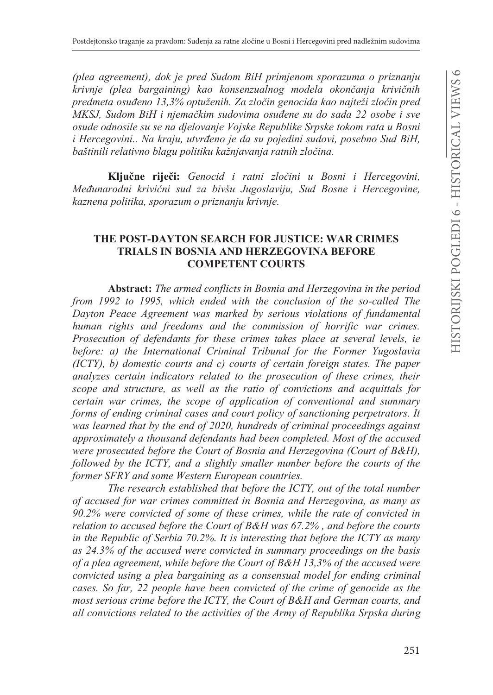*(plea agreement), dok je pred Sudom BiH primjenom sporazuma o priznanju krivnje (plea bargaining) kao konsenzualnog modela okonþanja kriviþnih predmeta osuđeno 13,3% optuženih. Za zločin genocida kao najteži zločin pred MKSJ, Sudom BiH i njemaþkim sudovima osuÿene su do sada 22 osobe i sve osude odnosile su se na djelovanje Vojske Republike Srpske tokom rata u Bosni i Hercegovini.. Na kraju, utvrÿeno je da su pojedini sudovi, posebno Sud BiH, baštinili relativno blagu SROLWLNXNDåQMDYDQMD ratnih zloþina.*

**Ključne riječi:** Genocid i ratni zločini u Bosni i Hercegovini, *Meÿunarodni kriviþni sud za bivšu Jugoslaviju, Sud Bosne i Hercegovine, kaznena politika, sporazum o priznanju krivnje.* 

### **THE POST-DAYTON SEARCH FOR JUSTICE: WAR CRIMES TRIALS IN BOSNIA AND HERZEGOVINA BEFORE COMPETENT COURTS**

**Abstract:** The armed conflicts in Bosnia and Herzegovina in the period *from 1992 to 1995, which ended with the conclusion of the so-called The Dayton Peace Agreement was marked by serious violations of fundamental human rights and freedoms and the commission of horrific war crimes. Prosecution of defendants for these crimes takes place at several levels, ie before: a) the International Criminal Tribunal for the Former Yugoslavia (ICTY), b) domestic courts and c) courts of certain foreign states. The paper analyzes certain indicators related to the prosecution of these crimes, their scope and structure, as well as the ratio of convictions and acquittals for certain war crimes, the scope of application of conventional and summary forms of ending criminal cases and court policy of sanctioning perpetrators. It was learned that by the end of 2020, hundreds of criminal proceedings against approximately a thousand defendants had been completed. Most of the accused were prosecuted before the Court of Bosnia and Herzegovina (Court of B&H), followed by the ICTY, and a slightly smaller number before the courts of the former SFRY and some Western European countries.* 

*The research established that before the ICTY, out of the total number of accused for war crimes committed in Bosnia and Herzegovina, as many as 90.2% were convicted of some of these crimes, while the rate of convicted in relation to accused before the Court of B&H was 67.2% , and before the courts in the Republic of Serbia 70.2%. It is interesting that before the ICTY as many as 24.3% of the accused were convicted in summary proceedings on the basis of a plea agreement, while before the Court of B&H 13,3% of the accused were convicted using a plea bargaining as a consensual model for ending criminal cases. So far, 22 people have been convicted of the crime of genocide as the most serious crime before the ICTY, the Court of B&H and German courts, and all convictions related to the activities of the Army of Republika Srpska during*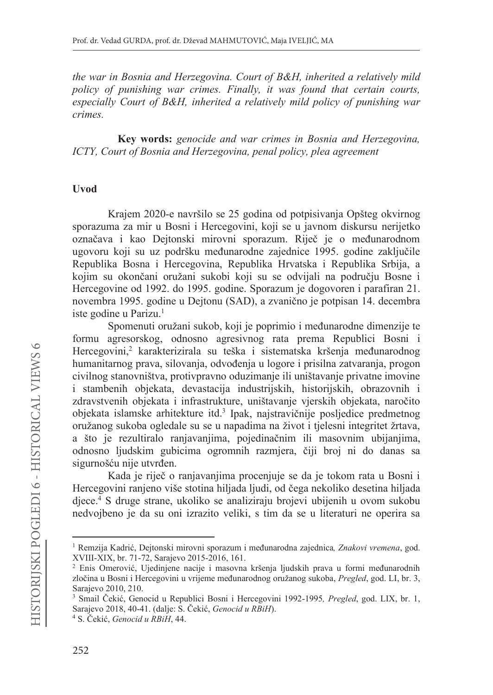the war in Bosnia and Herzegovina. Court of B&H, inherited a relatively mild policy of punishing war crimes. Finally, it was found that certain courts, especially Court of B&H, inherited a relatively mild policy of punishing war crimes.

Key words: genocide and war crimes in Bosnia and Herzegovina, ICTY, Court of Bosnia and Herzegovina, penal policy, plea agreement

### Uvod

Krajem 2020-e navršilo se 25 godina od potpisivanja Opšteg okvirnog sporazuma za mir u Bosni i Hercegovini, koji se u javnom diskursu nerijetko označava i kao Dejtonski mirovni sporazum. Riječ je o međunarodnom ugovoru koji su uz podršku međunarodne zajednice 1995. godine zaključile Republika Bosna i Hercegovina, Republika Hrvatska i Republika Srbija, a kojim su okončani oružani sukobi koji su se odvijali na području Bosne i Hercegovine od 1992. do 1995. godine. Sporazum je dogovoren i parafiran 21. novembra 1995. godine u Dejtonu (SAD), a zvanično je potpisan 14. decembra iste godine u Parizu.<sup>1</sup>

Spomenuti oružani sukob, koji je poprimio i međunarodne dimenzije te formu agresorskog, odnosno agresivnog rata prema Republici Bosni i Hercegovini,<sup>2</sup> karakterizirala su teška i sistematska kršenja međunarodnog humanitarnog prava, silovanja, odvođenja u logore i prisilna zatvaranja, progon civilnog stanovništva, protivpravno oduzimanje ili uništavanje privatne imovine i stambenih objekata, devastacija industrijskih, historijskih, obrazovnih i zdravstvenih objekata i infrastrukture, uništavanje vjerskih objekata, naročito objekata islamske arhitekture itd.<sup>3</sup> Ipak, najstravičnije posljedice predmetnog oružanog sukoba ogledale su se u napadima na život i tjelesni integritet žrtava, a što je rezultiralo ranjavanjima, pojedinačnim ili masovnim ubijanjima, odnosno ljudskim gubicima ogromnih razmjera, čiji broj ni do danas sa sigurnošću nije utvrđen.

Kada je riječ o ranjavanjima procenjuje se da je tokom rata u Bosni i Hercegovini ranjeno više stotina hiljada ljudi, od čega nekoliko desetina hiljada djece.<sup>4</sup> S druge strane, ukoliko se analiziraju brojevi ubijenih u ovom sukobu nedvojbeno je da su oni izrazito veliki, s tim da se u literaturi ne operira sa

<sup>&</sup>lt;sup>1</sup> Remzija Kadrić, Dejtonski mirovni sporazum i međunarodna zajednica, Znakovi vremena, god. XVIII-XIX, br. 71-72, Sarajevo 2015-2016, 161.

<sup>&</sup>lt;sup>2</sup> Enis Omerović, Ujedinjene nacije i masovna kršenja ljudskih prava u formi međunarodnih zločina u Bosni i Hercegovini u vrijeme međunarodnog oružanog sukoba, Pregled, god. LI, br. 3, Sarajevo 2010, 210.

<sup>&</sup>lt;sup>3</sup> Smail Čekić, Genocid u Republici Bosni i Hercegovini 1992-1995, *Pregled*, god. LIX, br. 1, Sarajevo 2018, 40-41. (dalje: S. Čekić, Genocid u RBiH).

<sup>&</sup>lt;sup>4</sup> S. Čekić, *Genocid u RBiH*, 44.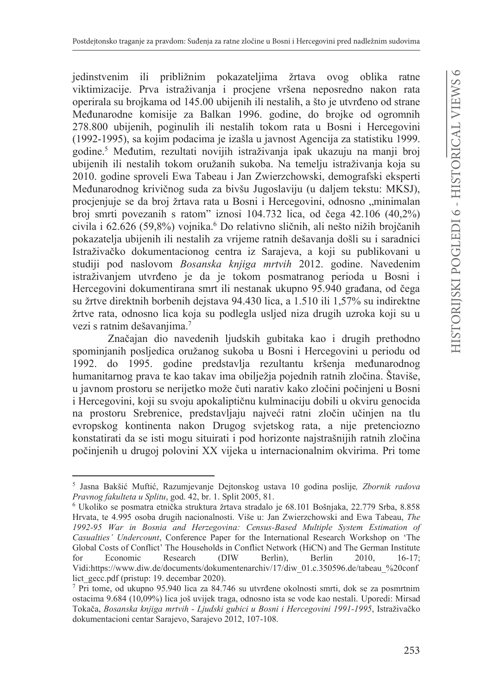jedinstvenim ili približnim pokazateljima žrtava ovog oblika ratne viktimizacije. Prva istraživanja i procjene vršena neposredno nakon rata operirala su brojkama od 145.00 ubijenih ili nestalih, a što je utvrđeno od strane Međunarodne komisije za Balkan 1996. godine, do brojke od ogromnih 278.800 ubijenih, poginulih ili nestalih tokom rata u Bosni i Hercegovini (1992-1995), sa kojim podacima je izašla u javnost Agencija za statistiku 1999. godine.<sup>5</sup> Međutim, rezultati novijih istraživanja ipak ukazuju na manji broj ubijenih ili nestalih tokom oružanih sukoba. Na temelju istraživanja koja su 2010. godine sproveli Ewa Tabeau i Jan Zwierzchowski, demografski eksperti Međunarodnog krivičnog suda za bivšu Jugoslaviju (u daljem tekstu: MKSJ), procjenjuje se da broj žrtava rata u Bosni i Hercegovini, odnosno "minimalan broj smrti povezanih s ratom" iznosi  $104.732$  lica, od čega  $42.106$   $(40.2\%)$ civila i 62.626 (59,8%) vojnika.<sup>6</sup> Do relativno sličnih, ali nešto nižih brojčanih pokazatelja ubijenih ili nestalih za vrijeme ratnih dešavanja došli su i saradnici Istraživačko dokumentacionog centra iz Sarajeva, a koji su publikovani u studiji pod naslovom Bosanska knjiga mrtvih 2012. godine. Navedenim istraživanjem utvrđeno je da je tokom posmatranog perioda u Bosni i Hercegovini dokumentirana smrt ili nestanak ukupno 95.940 građana, od čega su žrtve direktnih borbenih dejstava 94.430 lica, a 1.510 ili 1,57% su indirektne žrtve rata, odnosno lica koja su podlegla usljed niza drugih uzroka koji su u vezi s ratnim dešavanjima.<sup>7</sup>

Značajan dio navedenih ljudskih gubitaka kao i drugih prethodno spominjanih posljedica oružanog sukoba u Bosni i Hercegovini u periodu od 1992. do 1995. godine predstavlja rezultantu kršenja međunarodnog humanitarnog prava te kao takav ima obilježja pojednih ratnih zločina. Štaviše, u javnom prostoru se nerijetko može čuti narativ kako zločini počinjeni u Bosni i Hercegovini, koji su svoju apokaliptičnu kulminaciju dobili u okviru genocida na prostoru Srebrenice, predstavljaju najveći ratni zločin učinjen na tlu evropskog kontinenta nakon Drugog svjetskog rata, a nije pretenciozno konstatirati da se isti mogu situirati i pod horizonte najstrašnijih ratnih zločina počinjenih u drugoj polovini XX vijeka u internacionalnim okvirima. Pri tome

<sup>&</sup>lt;sup>5</sup> Jasna Bakšić Muftić, Razumjevanje Dejtonskog ustava 10 godina poslije, Zbornik radova Pravnog fakulteta u Splitu, god. 42, br. 1. Split 2005, 81.

<sup>&</sup>lt;sup>6</sup> Ukoliko se posmatra etnička struktura žrtava stradalo je 68.101 Bošnjaka, 22.779 Srba, 8.858 Hrvata, te 4.995 osoba drugih nacionalnosti. Više u: Jan Zwierzchowski and Ewa Tabeau, The 1992-95 War in Bosnia and Herzegovina: Census-Based Multiple System Estimation of Casualties' Undercount, Conference Paper for the International Research Workshop on 'The Global Costs of Conflict' The Households in Conflict Network (HiCN) and The German Institute for Economic Research (DIW) Berlin), Berlin 2010.  $16-17$ : Vidi:https://www.diw.de/documents/dokumentenarchiv/17/diw 01.c.350596.de/tabeau %20conf lict gecc.pdf (pristup: 19. decembar 2020).

<sup>7</sup> Pri tome, od ukupno 95.940 lica za 84.746 su utvrđene okolnosti smrti, dok se za posmrtnim ostacima 9.684 (10,09%) lica još uvijek traga, odnosno ista se vode kao nestali. Uporedi: Mirsad Tokača, Bosanska knjiga mrtvih - Ljudski gubici u Bosni i Hercegovini 1991-1995, Istraživačko dokumentacioni centar Sarajevo, Sarajevo 2012, 107-108.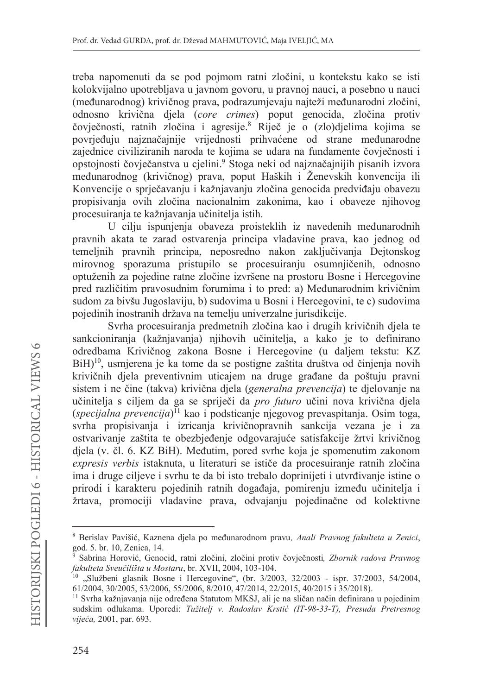treba napomenuti da se pod pojmom ratni zločini, u kontekstu kako se isti kolokvijalno upotrebljava u javnom govoru, u pravnoj nauci, a posebno u nauci (međunarodnog) krivičnog prava, podrazumjevaju najteži međunarodni zločini, odnosno krivična djela (core crimes) poput genocida, zločina protiv čovječnosti, ratnih zločina i agresije.8 Riječ je o (zlo)djelima kojima se povrjeđuju najznačajnije vrijednosti prihvaćene od strane međunarodne zajednice civiliziranih naroda te kojima se udara na fundamente čovječnosti i opstojnosti čovječanstva u cjelini.<sup>9</sup> Stoga neki od najznačajnijih pisanih izvora međunarodnog (krivičnog) prava, poput Haških i Ženevskih konvencija ili Konvencije o sprječavanju i kažnjavanju zločina genocida predviđaju obavezu propisivanja ovih zločina nacionalnim zakonima, kao i obaveze njihovog procesuiranja te kažnjavanja učinitelja istih.

U cilju ispunjenja obaveza proisteklih iz navedenih međunarodnih pravnih akata te zarad ostvarenja principa vladavine prava, kao jednog od temeljnih pravnih principa, neposredno nakon zaključivanja Dejtonskog mirovnog sporazuma pristupilo se procesuiranju osumnjičenih, odnosno optuženih za pojedine ratne zločine izvršene na prostoru Bosne i Hercegovine pred različitim pravosudnim forumima i to pred: a) Međunarodnim krivičnim sudom za bivšu Jugoslaviju, b) sudovima u Bosni i Hercegovini, te c) sudovima pojedinih inostranih država na temelju univerzalne jurisdikcije.

Svrha procesuiranja predmetnih zločina kao i drugih krivičnih djela te sankcioniranja (kažnjavanja) njihovih učinitelja, a kako je to definirano odredbama Krivičnog zakona Bosne i Hercegovine (u daljem tekstu: KZ  $BiH$ <sup>10</sup>, usmierena je ka tome da se postigne zaštita društva od činjenja novih krivičnih djela preventivnim uticajem na druge građane da poštuju pravni sistem i ne čine (takva) krivična djela (generalna prevencija) te djelovanje na učinitelja s ciljem da ga se spriječi da *pro futuro* učini nova krivična djela  $(specijalna prevencija)$ <sup> $\overline{1}$ </sup> kao i podsticanje njegovog prevaspitanja. Osim toga, svrha propisivanja i izricanja krivičnopravnih sankcija vezana je i za ostvarivanje zaštita te obezbjeđenje odgovarajuće satisfakcije žrtvi krivičnog djela (v. čl. 6. KZ BiH). Međutim, pored svrhe koja je spomenutim zakonom expresis verbis istaknuta, u literaturi se ističe da procesuiranje ratnih zločina ima i druge ciljeve i svrhu te da bi isto trebalo doprinijeti i utvrđivanje istine o prirodi i karakteru pojedinih ratnih događaja, pomirenju između učinitelja i žrtava, promociji vladavine prava, odvajanju pojedinačne od kolektivne

<sup>&</sup>lt;sup>8</sup> Berislav Pavišić, Kaznena diela po međunarodnom pravu. Anali Pravnog fakulteta u Zenici, god. 5. br. 10, Zenica, 14.

Sabrina Horović, Genocid, ratni zločini, zločini protiv čovječnosti, Zbornik radova Pravnog fakulteta Sveučilišta u Mostaru, br. XVII, 2004, 103-104.

<sup>&</sup>lt;sup>10</sup> "Službeni glasnik Bosne i Hercegovine", (br. 3/2003, 32/2003 - ispr. 37/2003, 54/2004, 61/2004, 30/2005, 53/2006, 55/2006, 8/2010, 47/2014, 22/2015, 40/2015 i 35/2018).

<sup>&</sup>lt;sup>11</sup> Svrha kažnjavanja nije određena Statutom MKSJ, ali je na sličan način definirana u pojedinim sudskim odlukama. Uporedi: Tužitelj v. Radoslav Krstić (IT-98-33-T), Presuda Pretresnog vijeća, 2001, par. 693.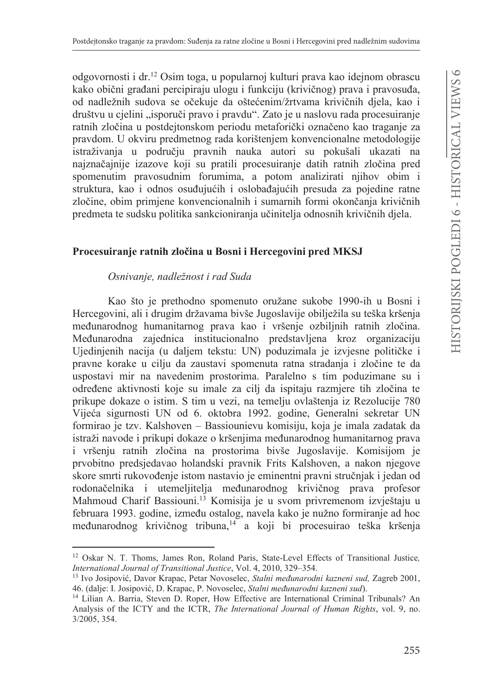odgovornosti i dr.<sup>12</sup> Osim toga, u popularnoj kulturi prava kao idejnom obrascu kako obični građani percipiraju ulogu i funkciju (krivičnog) prava i pravosuđa, od nadležnih sudova se očekuje da oštećenim/žrtvama krivičnih djela, kao i društvu u cjelini "isporuči pravo i pravdu". Zato je u naslovu rada procesuiranje ratnih zločina u postdejtonskom periodu metaforički označeno kao traganje za pravdom. U okviru predmetnog rada korištenjem konvencionalne metodologije istraživanja u području pravnih nauka autori su pokušali ukazati na najznačajnije izazove koji su pratili procesuiranje datih ratnih zločina pred spomenutim pravosudnim forumima, a potom analizirati njihov obim i struktura, kao i odnos osuđujućih i oslobađajućih presuda za pojedine ratne zločine, obim primjene konvencionalnih i sumarnih formi okončanja krivičnih predmeta te sudsku politika sankcioniranja učinitelja odnosnih krivičnih djela.

### Procesuiranje ratnih zločina u Bosni i Hercegovini pred MKSJ

#### Osnivanje, nadležnost i rad Suda

Kao što je prethodno spomenuto oružane sukobe 1990-ih u Bosni i Hercegovini, ali i drugim državama bivše Jugoslavije obilježila su teška kršenja međunarodnog humanitarnog prava kao i vršenje ozbiljnih ratnih zločina. Međunarodna zajednica institucionalno predstavljena kroz organizaciju Ujedinjenih nacija (u daljem tekstu: UN) poduzimala je izvjesne političke i pravne korake u ciliu da zaustavi spomenuta ratna stradanja i zločine te da uspostavi mir na navedenim prostorima. Paralelno s tim poduzimane su i određene aktivnosti koje su imale za cilj da ispitaju razmjere tih zločina te prikupe dokaze o istim. S tim u vezi, na temelju ovlaštenja iz Rezolucije 780 Vijeća sigurnosti UN od 6. oktobra 1992. godine, Generalni sekretar UN formirao je tzv. Kalshoven - Bassiounievu komisiju, koja je imala zadatak da istraži navode i prikupi dokaze o kršenjima međunarodnog humanitarnog prava i vršenju ratnih zločina na prostorima bivše Jugoslavije. Komisijom je prvobitno predsjedavao holandski pravnik Frits Kalshoven, a nakon njegove skore smrti rukovođenje istom nastavio je eminentni pravni stručnjak i jedan od rodonačelnika i utemeljitelja međunarodnog krivičnog prava profesor Mahmoud Charif Bassiouni.<sup>13</sup> Komisija je u svom privremenom izvještaju u februara 1993. godine, između ostalog, navela kako je nužno formiranje ad hoc međunarodnog krivičnog tribuna,<sup>14</sup> a koji bi procesuirao teška kršenja

<sup>&</sup>lt;sup>12</sup> Oskar N. T. Thoms, James Ron, Roland Paris, State-Level Effects of Transitional Justice, International Journal of Transitional Justice, Vol. 4, 2010, 329-354.

<sup>&</sup>lt;sup>13</sup> Ivo Josipović, Davor Krapac, Petar Novoselec, *Stalni međunarodni kazneni sud*, Zagreb 2001, 46. (dalje: I. Josipović, D. Krapac, P. Novoselec, Stalni međunarodni kazneni sud).

<sup>&</sup>lt;sup>14</sup> Lilian A. Barria, Steven D. Roper, How Effective are International Criminal Tribunals? An Analysis of the ICTY and the ICTR, The International Journal of Human Rights, vol. 9, no. 3/2005, 354.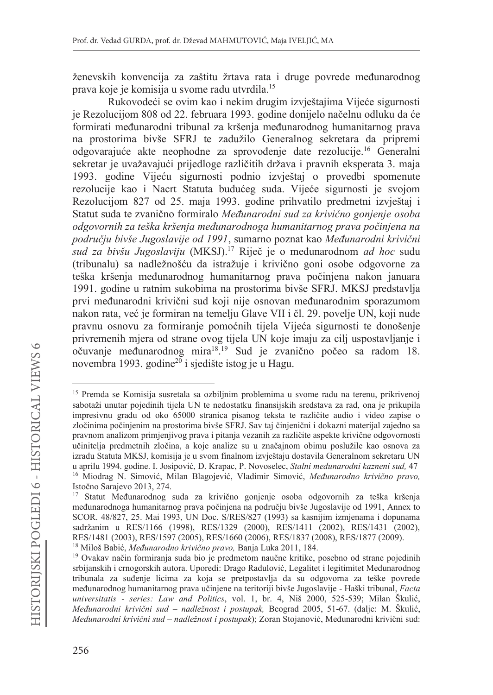ženevskih konvencija za zaštitu žrtava rata i druge povrede međunarodnog prava koje je komisija u svome radu utvrdila.<sup>15</sup>

Rukovodeći se ovim kao i nekim drugim izvještajima Vijeće sigurnosti je Rezolucijom 808 od 22. februara 1993. godine donijelo načelnu odluku da će formirati međunarodni tribunal za kršenja međunarodnog humanitarnog prava na prostorima bivše SFRJ te zadužilo Generalnog sekretara da pripremi odgovarajuće akte neophodne za sprovođenje date rezolucije.<sup>16</sup> Generalni sekretar je uvažavajući prijedloge različitih država i pravnih eksperata 3. maja 1993. godine Vijeću sigurnosti podnio izvještaj o provedbi spomenute rezolucije kao i Nacrt Statuta budućeg suda. Vijeće sigurnosti je svojom Rezolucijom 827 od 25. maja 1993. godine prihvatilo predmetni izvještaj i Statut suda te zvanično formiralo Međunarodni sud za krivično gonjenje osoba odgovornih za teška kršenja međunarodnoga humanitarnog prava počinjena na području bivše Jugoslavije od 1991, sumarno poznat kao Međunarodni krivični sud za bivšu Jugoslaviju (MKSJ).<sup>17</sup> Riječ je o međunarodnom ad hoc sudu (tribunalu) sa nadležnošću da istražuje i krivično goni osobe odgovorne za teška kršenja međunarodnog humanitarnog prava počinjena nakon januara 1991. godine u ratnim sukobima na prostorima bivše SFRJ. MKSJ predstavlja prvi međunarodni krivični sud koji nije osnovan međunarodnim sporazumom nakon rata, već je formiran na temelju Glave VII i čl. 29. povelje UN, koji nude pravnu osnovu za formiranje pomoćnih tijela Vijeća sigurnosti te donošenje privremenih mjera od strane ovog tijela UN koje imaju za cilj uspostavljanje i očuvanje međunarodnog mira<sup>18</sup>.<sup>19</sup> Sud je zvanično počeo sa radom 18. novembra 1993. godine<sup>20</sup> i sjedište istog je u Hagu.

<sup>&</sup>lt;sup>15</sup> Premda se Komisija susretala sa ozbiljnim problemima u svome radu na terenu, prikrivenoj sabotaži unutar pojedinih tijela UN te nedostatku finansijskih sredstava za rad, ona je prikupila impresivnu građu od oko 65000 stranica pisanog teksta te različite audio i video zapise o zločinima počinjenim na prostorima bivše SFRJ. Sav taj činjenični i dokazni materijal zajedno sa pravnom analizom primjenjivog prava i pitanja vezanih za različite aspekte krivične odgovornosti učinitelja predmetnih zločina, a koje analize su u značajnom obimu poslužile kao osnova za izradu Statuta MKSJ, komisija je u svom finalnom izvještaju dostavila Generalnom sekretaru UN u aprilu 1994. godine. I. Josipović, D. Krapac, P. Novoselec, Stalni međunarodni kazneni sud, 47 <sup>16</sup> Miodrag N. Simović, Milan Blagojević, Vladimir Simović, Međunarodno krivično pravo, Istočno Sarajevo 2013, 274.

<sup>&</sup>lt;sup>17</sup> Statut Međunarodnog suda za krivično gonjenje osoba odgovornih za teška kršenja međunarodnoga humanitarnog prava počinjena na području bivše Jugoslavije od 1991, Annex to SCOR. 48/827, 25. Mai 1993, UN Doc. S/RES/827 (1993) sa kasnijim izmjenama i dopunama sadržanim u RES/1166 (1998), RES/1329 (2000), RES/1411 (2002), RES/1431 (2002), RES/1481 (2003), RES/1597 (2005), RES/1660 (2006), RES/1837 (2008), RES/1877 (2009). <sup>18</sup> Miloš Babić, Međunarodno krivično pravo, Banja Luka 2011, 184.

<sup>&</sup>lt;sup>19</sup> Ovakav način formiranja suda bio je predmetom naučne kritike, posebno od strane pojedinih srbijanskih i crnogorskih autora. Uporedi: Drago Radulović, Legalitet i legitimitet Međunarodnog tribunala za suđenje licima za koja se pretpostavlja da su odgovorna za teške povrede međunarodnog humanitarnog prava učinjene na teritoriji bivše Jugoslavije - Haški tribunal, Facta universitatis - series: Law and Politics, vol. 1, br. 4, Niš 2000, 525-539; Milan Škulić, Međunarodni krivični sud – nadležnost i postupak, Beograd 2005, 51-67. (dalje: M. Škulić, Međunarodni krivični sud - nadležnost i postupak); Zoran Stojanović, Međunarodni krivični sud: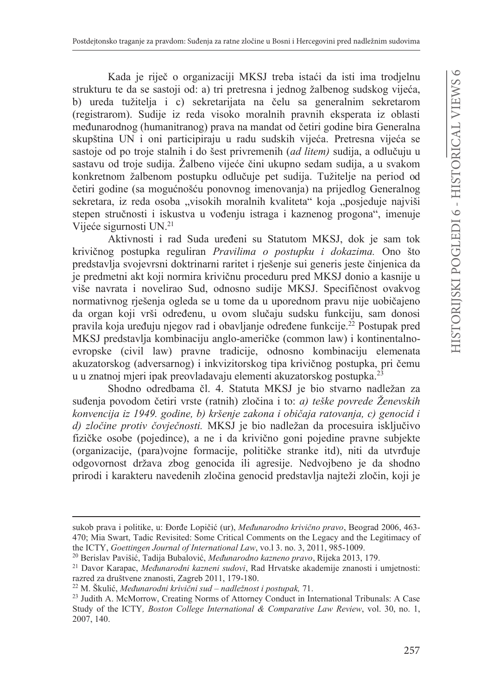Kada je riječ o organizaciji MKSJ treba istaći da isti ima trodjelnu strukturu te da se sastoji od: a) tri pretresna i jednog žalbenog sudskog vijeća, b) ureda tužitelja i c) sekretarijata na čelu sa generalnim sekretarom (registrarom). Sudije iz reda visoko moralnih pravnih eksperata iz oblasti međunarodnog (humanitranog) prava na mandat od četiri godine bira Generalna skupština UN i oni participiraju u radu sudskih vijeća. Pretresna vijeća se sastoje od po troje stalnih i do šest privremenih (ad litem) sudija, a odlučuju u sastavu od troje sudija. Žalbeno vijeće čini ukupno sedam sudija, a u svakom konkretnom žalbenom postupku odlučuje pet sudija. Tužitelje na period od četiri godine (sa mogućnošću ponovnog imenovanja) na prijedlog Generalnog sekretara, iz reda osoba "visokih moralnih kvaliteta" koja "posjeduje najviši stepen stručnosti i iskustva u vođenju istraga i kaznenog progona", imenuje Vijeće sigurnosti UN.<sup>21</sup>

Aktivnosti i rad Suda uređeni su Statutom MKSJ, dok je sam tok krivičnog postupka reguliran Pravilima o postupku i dokazima. Ono što predstavlja svojevrsni doktrinarni raritet i rješenje sui generis jeste činjenica da je predmetni akt koji normira krivičnu proceduru pred MKSJ donio a kasnije u više navrata i novelirao Sud, odnosno sudije MKSJ. Specifičnost ovakvog normativnog rješenja ogleda se u tome da u uporednom pravu nije uobičajeno da organ koji vrši određenu, u ovom slučaju sudsku funkciju, sam donosi pravila koja uređuju njegov rad i obavljanje određene funkcije.<sup>22</sup> Postupak pred MKSJ predstavlja kombinaciju anglo-američke (common law) i kontinentalnoevropske (civil law) pravne tradicije, odnosno kombinaciju elemenata akuzatorskog (adversarnog) i inkvizitorskog tipa krivičnog postupka, pri čemu u u znatnoj mjeri ipak preovladavaju elementi akuzatorskog postupka.<sup>23</sup>

Shodno odredbama čl. 4. Statuta MKSJ je bio stvarno nadležan za suđenja povodom četiri vrste (ratnih) zločina i to: a) teške povrede Ženevskih konvencija iz 1949. godine, b) kršenje zakona i običaja ratovanja, c) genocid i d) zločine protiv čovječnosti. MKSJ je bio nadležan da procesuira isključivo fizičke osobe (pojedince), a ne i da krivično goni pojedine pravne subjekte (organizacije, (para)vojne formacije, političke stranke itd), niti da utvrđuje odgovornost država zbog genocida ili agresije. Nedvojbeno je da shodno prirodi i karakteru navedenih zločina genocid predstavlja najteži zločin, koji je

sukob prava i politike, u: Đorđe Lopičić (ur), Međunarodno krivično pravo, Beograd 2006, 463-470; Mia Swart, Tadic Revisited: Some Critical Comments on the Legacy and the Legitimacy of the ICTY, Goettingen Journal of International Law, vo.13. no. 3, 2011, 985-1009.

<sup>&</sup>lt;sup>20</sup> Berislav Pavišić, Tadija Bubalović, Međunarodno kazneno pravo, Rijeka 2013, 179.

<sup>&</sup>lt;sup>21</sup> Davor Karapac, *Međunarodni kazneni sudovi*, Rad Hrvatske akademije znanosti i umjetnosti: razred za društvene znanosti, Zagreb 2011, 179-180.

<sup>&</sup>lt;sup>22</sup> M. Škulić, Međunarodni krivični sud – nadležnost i postupak, 71.

<sup>&</sup>lt;sup>23</sup> Judith A. McMorrow, Creating Norms of Attorney Conduct in International Tribunals: A Case Study of the ICTY, Boston College International & Comparative Law Review, vol. 30, no. 1, 2007, 140.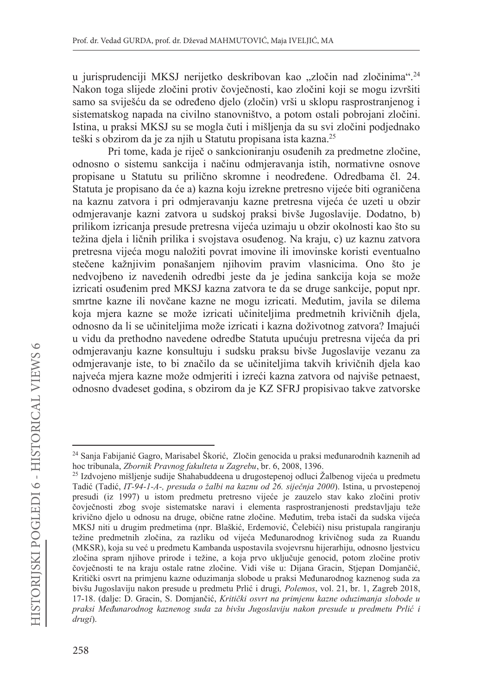u jurisprudenciji MKSJ nerijetko deskribovan kao "zločin nad zločinima".<sup>24</sup> Nakon toga slijede zločini protiv čovječnosti, kao zločini koji se mogu izvršiti samo sa sviješću da se određeno djelo (zločin) vrši u sklopu rasprostranjenog i sistematskog napada na civilno stanovništvo, a potom ostali pobrojani zločini. Istina, u praksi MKSJ su se mogla čuti i mišljenja da su svi zločini podjednako teški s obzirom da je za njih u Statutu propisana ista kazna.<sup>25</sup>

Pri tome, kada je riječ o sankcioniranju osuđenih za predmetne zločine, odnosno o sistemu sankcija i načinu odmieravanja istih, normativne osnove propisane u Statutu su prilično skromne i neodređene. Odredbama čl. 24. Statuta je propisano da će a) kazna koju izrekne pretresno vijeće biti ograničena na kaznu zatvora i pri odmjeravanju kazne pretresna vijeća će uzeti u obzir odmjeravanje kazni zatvora u sudskoj praksi bivše Jugoslavije. Dodatno, b) prilikom izricanja presude pretresna vijeća uzimaju u obzir okolnosti kao što su težina djela i ličnih prilika i svojstava osuđenog. Na kraju, c) uz kaznu zatvora pretresna vijeća mogu naložiti povrat imovine ili imovinske koristi eventualno stečene kažnjivim ponašanjem njihovim pravim vlasnicima. Ono što je nedvojbeno iz navedenih odredbi jeste da je jedina sankcija koja se može izricati osuđenim pred MKSJ kazna zatvora te da se druge sankcije, poput npr. smrtne kazne ili novčane kazne ne mogu izricati. Međutim, javila se dilema koja mjera kazne se može izricati učiniteljima predmetnih krivičnih djela, odnosno da li se učiniteljima može izricati i kazna doživotnog zatvora? Imajući u vidu da prethodno navedene odredbe Statuta upućuju pretresna vijeća da pri odmjeravanju kazne konsultuju i sudsku praksu bivše Jugoslavije vezanu za odmjeravanje iste, to bi značilo da se učiniteljima takvih krivičnih djela kao najveća mjera kazne može odmjeriti i izreći kazna zatvora od najviše petnaest, odnosno dvadeset godina, s obzirom da je KZ SFRJ propisivao takve zatvorske

<sup>&</sup>lt;sup>24</sup> Sanja Fabijanić Gagro, Marisabel Škorić, Zločin genocida u praksi međunarodnih kaznenih ad hoc tribunala, Zbornik Pravnog fakulteta u Zagrebu, br. 6, 2008, 1396.

<sup>&</sup>lt;sup>25</sup> Izdvojeno mišljenje sudije Shahabuddeena u drugostepenoj odluci Žalbenog vijeća u predmetu Tadić (Tadić, IT-94-1-A-, presuda o žalbi na kaznu od 26. siječnja 2000). Istina, u prvostepenoj presudi (iz 1997) u istom predmetu pretresno vijeće je zauzelo stav kako zločini protiv čovječnosti zbog svoje sistematske naravi i elementa rasprostranjenosti predstavljaju teže krivično djelo u odnosu na druge, obične ratne zločine. Međutim, treba istači da sudska vijeća MKSJ niti u drugim predmetima (npr. Blaškić, Erdemović, Čelebići) nisu pristupala rangiranju težine predmetnih zločina, za razliku od vijeća Međunarodnog krivičnog suda za Ruandu (MKSR), koja su već u predmetu Kambanda uspostavila svojevrsnu hijerarhiju, odnosno ljestvicu zločina spram njihove prirode i težine, a koja prvo uključuje genocid, potom zločine protiv čovječnosti te na kraju ostale ratne zločine. Vidi više u: Dijana Gracin, Stjepan Domjančić, Kritički osvrt na primjenu kazne oduzimanja slobode u praksi Međunarodnog kaznenog suda za bivšu Jugoslaviju nakon presude u predmetu Prlić i drugi, Polemos, vol. 21, br. 1, Zagreb 2018, 17-18. (dalje: D. Gracin, S. Domjančić, Kritički osvrt na primjenu kazne oduzimanja slobode u praksi Međunarodnog kaznenog suda za bivšu Jugoslaviju nakon presude u predmetu Prlić i drugi).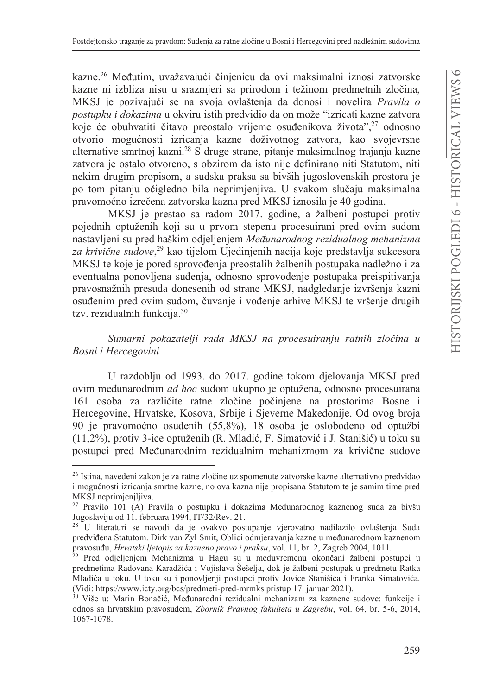kazne.<sup>26</sup> Međutim, uvažavajući činjenicu da ovi maksimalni iznosi zatvorske kazne ni izbliza nisu u srazmjeri sa prirodom i težinom predmetnih zločina, MKSJ je pozivajući se na svoja ovlaštenja da donosi i novelira Pravila o *postupku i dokazima* u okviru istih predvidio da on može "izricati kazne zatvora" koje će obuhvatiti čitavo preostalo vrijeme osuđenikova života",<sup>27</sup> odnosno otvorio mogućnosti izricanja kazne doživotnog zatvora, kao svojevrsne alternative smrtnoj kazni.<sup>28</sup> S druge strane, pitanje maksimalnog trajanja kazne zatvora je ostalo otvoreno, s obzirom da isto nije definirano niti Statutom, niti nekim drugim propisom, a sudska praksa sa bivših jugoslovenskih prostora je po tom pitanju očigledno bila neprimjenjiva. U svakom slučaju maksimalna pravomoćno izrečena zatvorska kazna pred MKSJ iznosila je 40 godina.

MKSJ je prestao sa radom 2017. godine, a žalbeni postupci protiv pojednih optuženih koji su u prvom stepenu procesuirani pred ovim sudom nastavljeni su pred haškim odjeljenjem Međunarodnog rezidualnog mehanizma za krivične sudove,<sup>29</sup> kao tijelom Ujedinjenih nacija koje predstavlja sukcesora MKSJ te koje je pored sprovođenja preostalih žalbenih postupaka nadležno i za eventualna ponovljena suđenja, odnosno sprovođenje postupaka preispitivanja pravosnažnih presuda donesenih od strane MKSJ, nadgledanje izvršenja kazni osuđenim pred ovim sudom, čuvanje i vođenje arhive MKSJ te vršenje drugih tzv. rezidualnih funkcija.<sup>30</sup>

# Sumarni pokazatelji rada MKSJ na procesuiranju ratnih zločina u Bosni i Hercegovini

U razdoblju od 1993. do 2017. godine tokom djelovanja MKSJ pred ovim međunarodnim *ad hoc* sudom ukupno je optužena, odnosno procesuirana 161 osoba za različite ratne zločine počinjene na prostorima Bosne i Hercegovine, Hrvatske, Kosova, Srbije i Sjeverne Makedonije. Od ovog broja 90 je pravomoćno osuđenih (55,8%), 18 osoba je oslobođeno od optužbi (11,2%), protiv 3-ice optuženih (R. Mladić, F. Simatović i J. Stanišić) u toku su postupci pred Međunarodnim rezidualnim mehanizmom za krivične sudove

<sup>26</sup> Istina, navedeni zakon je za ratne zločine uz spomenute zatvorske kazne alternativno predviđao i mogućnosti izricanja smrtne kazne, no ova kazna nije propisana Statutom te je samim time pred MKSJ neprimjenjljiva.

<sup>&</sup>lt;sup>27</sup> Pravilo 101 (A) Pravila o postupku i dokazima Međunarodnog kaznenog suda za bivšu Jugoslaviju od 11. februara 1994, IT/32/Rev. 21.

<sup>28</sup> U literaturi se navodi da je ovakvo postupanje vjerovatno nadilazilo ovlaštenja Suda predviđena Statutom. Dirk van Zyl Smit, Oblici odmjeravanja kazne u međunarodnom kaznenom pravosuđu, Hrvatski ljetopis za kazneno pravo i praksu, vol. 11, br. 2, Zagreb 2004, 1011.

<sup>&</sup>lt;sup>29</sup> Pred odjeljenjem Mehanizma u Hagu su u međuvremenu okončani žalbeni postupci u predmetima Radovana Karadžića i Vojislava Šešelja, dok je žalbeni postupak u predmetu Ratka Mladića u toku. U toku su i ponovljenji postupci protiv Jovice Stanišića i Franka Simatovića. (Vidi: https://www.icty.org/bcs/predmeti-pred-mrmks pristup 17. januar 2021).

<sup>&</sup>lt;sup>30</sup> Više u: Marin Bonačić, Međunarodni rezidualni mehanizam za kaznene sudove: funkcije i odnos sa hrvatskim pravosuđem, Zbornik Pravnog fakulteta u Zagrebu, vol. 64, br. 5-6, 2014, 1067-1078.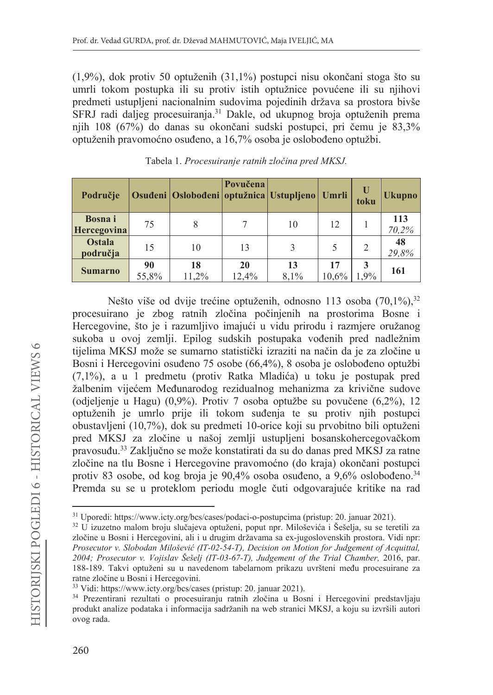$(1,9\%)$ , dok protiv 50 optuženih  $(31,1\%)$  postupci nisu okončani stoga što su umrli tokom postupka ili su protiv istih optužnice povućene ili su njihovi predmeti ustupljeni nacionalnim sudovima pojedinih država sa prostora bivše SFRJ radi daljeg procesuiranja.<sup>31</sup> Dakle, od ukupnog broja optuženih prema njih 108 (67%) do danas su okončani sudski postupci, pri čemu je 83,3% optuženih pravomoćno osuđeno, a 16,7% osoba je oslobođeno optužbi.

| Područie                      |             | Osuđeni   Oslobođeni   optužnica   Ustupljeno   Umrli | Povučena    |            |             | U<br>toku | <b>Ukupno</b> |
|-------------------------------|-------------|-------------------------------------------------------|-------------|------------|-------------|-----------|---------------|
| <b>Bosna</b> i<br>Hercegovina | 75          | 8                                                     |             | 10         | 12          |           | 113<br>70,2%  |
| <b>Ostala</b><br>područja     | 15          | 10                                                    | 13          | 3          |             |           | 48<br>29,8%   |
| <b>Sumarno</b>                | 90<br>55,8% | 18<br>11,2%                                           | 20<br>12,4% | 13<br>8,1% | 17<br>10,6% | 3<br>1.9% | 161           |

Tabela 1. Procesuiranje ratnih zločina pred MKSJ.

Nešto više od dvije trećine optuženih, odnosno 113 osoba (70,1%),<sup>32</sup> procesuirano je zbog ratnih zločina počinjenih na prostorima Bosne i Hercegovine, što je i razumljivo imajući u vidu prirodu i razmiere oružanog sukoba u ovoj zemlji. Epilog sudskih postupaka vođenih pred nadležnim tijelima MKSJ može se sumarno statistički izraziti na način da je za zločine u Bosni i Hercegovini osuđeno 75 osobe (66,4%), 8 osoba je oslobođeno optužbi (7,1%), a u 1 predmetu (protiv Ratka Mladića) u toku je postupak pred žalbenim vijećem Međunarodog rezidualnog mehanizma za krivične sudove (odjeljenje u Hagu) (0,9%). Protiv 7 osoba optužbe su povučene (6,2%), 12 optuženih je umrlo prije ili tokom suđenja te su protiv njih postupci obustavljeni (10,7%), dok su predmeti 10-orice koji su prvobitno bili optuženi pred MKSJ za zločine u našoj zemlji ustupljeni bosanskohercegovačkom pravosuđu.<sup>33</sup> Zaključno se može konstatirati da su do danas pred MKSJ za ratne zločine na tlu Bosne i Hercegovine pravomoćno (do kraja) okončani postupci protiv 83 osobe, od kog broja je 90,4% osoba osuđeno, a 9,6% oslobođeno.<sup>34</sup> Premda su se u proteklom periodu mogle čuti odgovarajuće kritike na rad

<sup>&</sup>lt;sup>31</sup> Uporedi: https://www.icty.org/bcs/cases/podaci-o-postupcima (pristup: 20. januar 2021).

<sup>&</sup>lt;sup>32</sup> U izuzetno malom broju slučajeva optuženi, poput npr. Miloševića i Šešelja, su se teretili za zločine u Bosni i Hercegovini, ali i u drugim državama sa ex-jugoslovenskih prostora. Vidi npr: Prosecutor v. Slobodan Milošević (IT-02-54-T), Decision on Motion for Judgement of Acquittal, 2004; Prosecutor v. Vojislav Šešelj (IT-03-67-T), Judgement of the Trial Chamber, 2016, par. 188-189. Takvi optuženi su u navedenom tabelarnom prikazu uvršteni među procesuirane za ratne zločine u Bosni i Hercegovini.

<sup>&</sup>lt;sup>33</sup> Vidi: https://www.icty.org/bcs/cases (pristup: 20. januar 2021).

<sup>&</sup>lt;sup>34</sup> Prezentirani rezultati o procesuiranju ratnih zločina u Bosni i Hercegovini predstavljaju produkt analize podataka i informacija sadržanih na web stranici MKSJ, a koju su izvršili autori ovog rada.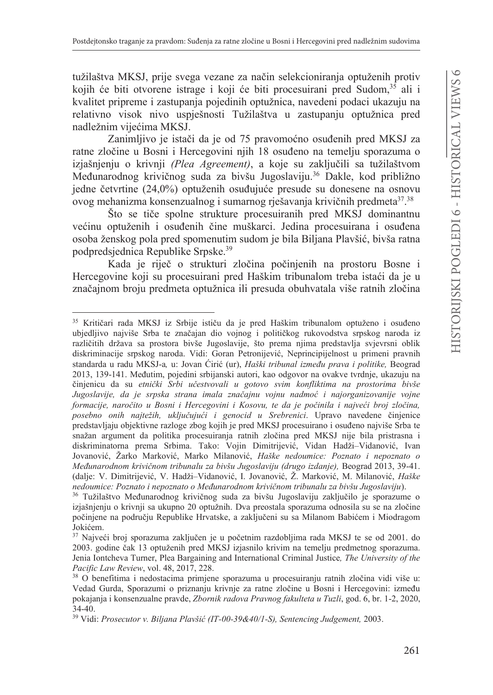tužilaštva MKSJ, prije svega vezane za način selekcioniranja optuženih protiv kojih će biti otvorene istrage i koji će biti procesuirani pred Sudom,<sup>35</sup> ali i kvalitet pripreme i zastupanja pojedinih optužnica, navedeni podaci ukazuju na relativno visok nivo uspješnosti Tužilaštva u zastupanju optužnica pred nadležnim vijećima MKSJ.

Zanimljivo je istači da je od 75 pravomoćno osuđenih pred MKSJ za ratne zločine u Bosni i Hercegovini njih 18 osuđeno na temelju sporazuma o iziašnieniu o krivnii (Plea Agreement), a koje su zakliučili sa tužilaštvom Međunarodnog krivičnog suda za bivšu Jugoslaviju.<sup>36</sup> Dakle, kod približno jedne četvrtine (24,0%) optuženih osuđujuće presude su donesene na osnovu ovog mehanizma konsenzualnog i sumarnog rješavanja krivičnih predmeta<sup>37</sup>.<sup>38</sup>

Što se tiče spolne strukture procesuiranih pred MKSJ dominantnu većinu optuženih i osuđenih čine muškarci. Jedina procesuirana i osuđena osoba ženskog pola pred spomenutim sudom je bila Biljana Plavšić, bivša ratna podpredsjednica Republike Srpske.<sup>39</sup>

Kada je riječ o strukturi zločina počinjenih na prostoru Bosne i Hercegovine koji su procesuirani pred Haškim tribunalom treba istaći da je u značajnom broju predmeta optužnica ili presuda obuhvatala više ratnih zločina

<sup>35</sup> Kritičari rada MKSJ iz Srbije ističu da je pred Haškim tribunalom optuženo i osuđeno ubjedljivo najviše Srba te značajan dio vojnog i političkog rukovodstva srpskog naroda iz različitih država sa prostora bivše Jugoslavije, što prema njima predstavlja svjevrsni oblik diskriminacije srpskog naroda. Vidi: Goran Petronijević, Neprincipijelnost u primeni pravnih standarda u radu MKSJ-a, u: Jovan Ćirić (ur), Haški tribunal između prava i politike, Beograd 2013, 139-141. Međutim, pojedini srbijanski autori, kao odgovor na ovakve tvrdnje, ukazuju na činjenicu da su etnički Srbi učestvovali u gotovo svim konfliktima na prostorima bivše Jugoslavije, da je srpska strana imala značajnu vojnu nadmoć i najorganizovanije vojne formacije, naročito u Bosni i Hercegovini i Kosovu, te da je počinila i najveći broj zločina, posebno onih najtežih, uključujući i genocid u Srebrenici. Upravo navedene činjenice predstavljaju objektivne razloge zbog kojih je pred MKSJ procesuirano i osuđeno najviše Srba te snažan argument da politika procesuiranja ratnih zločina pred MKSJ nije bila pristrasna i diskriminatorna prema Srbima. Tako: Vojin Dimitrijević, Vidan Hadži-Vidanović, Ivan Jovanović, Žarko Marković, Marko Milanović, Haške nedoumice: Poznato i nepoznato o Međunarodnom krivičnom tribunalu za bivšu Jugoslaviju (drugo izdanje), Beograd 2013, 39-41. (dalje: V. Dimitrijević, V. Hadži-Vidanović, I. Jovanović, Ž. Marković, M. Milanović, Haške nedoumice: Poznato i nepoznato o Međunarodnom krivičnom tribunalu za bivšu Jugoslaviju).

<sup>36</sup> Tužilaštvo Međunarodnog krivičnog suda za bivšu Jugoslaviju zaključilo je sporazume o izjašnjenju o krivnji sa ukupno 20 optužnih. Dva preostala sporazuma odnosila su se na zločine počinjene na području Republike Hrvatske, a zaključeni su sa Milanom Babićem i Miodragom Jokićem.

<sup>&</sup>lt;sup>37</sup> Najveći broj sporazuma zaključen je u početnim razdobljima rada MKSJ te se od 2001. do 2003. godine čak 13 optuženih pred MKSJ izjasnilo krivim na temelju predmetnog sporazuma. Jenia Iontcheva Turner, Plea Bargaining and International Criminal Justice, The University of the Pacific Law Review, vol. 48, 2017, 228.

<sup>38</sup> O benefitima i nedostacima primjene sporazuma u procesuiranju ratnih zločina vidi više u: Vedad Gurda, Sporazumi o priznanju krivnje za ratne zločine u Bosni i Hercegovini: između pokajanja i konsenzualne pravde, Zbornik radova Pravnog fakulteta u Tuzli, god. 6, br. 1-2, 2020,  $34-40.$ 

<sup>&</sup>lt;sup>39</sup> Vidi: Prosecutor v. Biljana Plavšić (IT-00-39&40/1-S), Sentencing Judgement, 2003.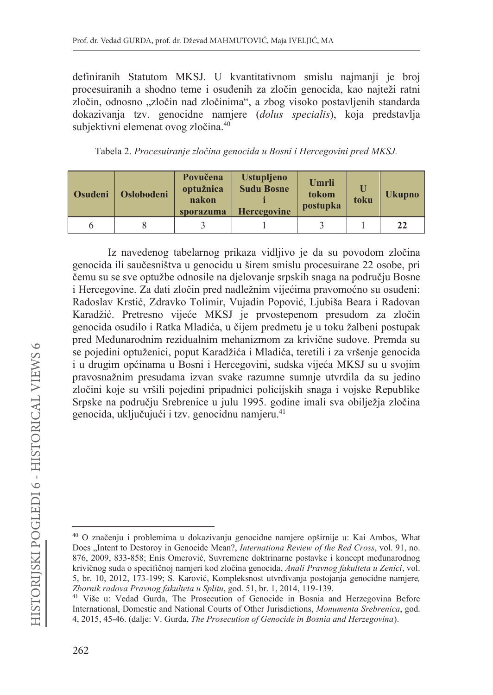definiranih Statutom MKSJ. U kvantitativnom smislu najmanji je broj procesuiranih a shodno teme i osuđenih za zločin genocida, kao najteži ratni zločin, odnosno "zločin nad zločinima", a zbog visoko postavljenih standarda dokazivanja tzv. genocidne namjere (dolus specialis), koja predstavlja subjektivni elemenat ovog zločina.<sup>40</sup>

| Tabela 2. Procesuiranje zločina genocida u Bosni i Hercegovini pred MKSJ. |  |  |  |
|---------------------------------------------------------------------------|--|--|--|
|                                                                           |  |  |  |

| Osuđeni | <b>Oslobođeni</b> | Povučena<br>optužnica<br>nakon<br>sporazuma | <b>Ustupljeno</b><br><b>Sudu Bosne</b><br><b>Hercegovine</b> | Umrli<br>tokom<br>postupka | toku | <b>Ukupno</b> |
|---------|-------------------|---------------------------------------------|--------------------------------------------------------------|----------------------------|------|---------------|
|         |                   |                                             |                                                              |                            |      | 22            |

Iz navedenog tabelarnog prikaza vidljivo je da su povodom zločina genocida ili saučesništva u genocidu u širem smislu procesuirane 22 osobe, pri čemu su se sve optužbe odnosile na djelovanje srpskih snaga na području Bosne i Hercegovine. Za dati zločin pred nadležnim vijećima pravomoćno su osuđeni: Radoslav Krstić, Zdravko Tolimir, Vujadin Popović, Ljubiša Beara i Radovan Karadžić. Pretresno vijeće MKSJ je prvostepenom presudom za zločin genocida osudilo i Ratka Mladića, u čijem predmetu je u toku žalbeni postupak pred Međunarodnim rezidualnim mehanizmom za krivične sudove. Premda su se pojedini optuženici, poput Karadžića i Mladića, teretili i za vršenje genocida i u drugim općinama u Bosni i Hercegovini, sudska vijeća MKSJ su u svojim pravosnažnim presudama izvan svake razumne sumnje utvrdila da su jedino zločini koje su vršili pojedini pripadnici policijskih snaga i vojske Republike Srpske na području Srebrenice u julu 1995. godine imali sva obilježja zločina genocida, uključujući i tzv. genocidnu namjeru.<sup>41</sup>

<sup>&</sup>lt;sup>40</sup> O značenju i problemima u dokazivanju genocidne namjere opširnije u: Kai Ambos, What Does "Intent to Destoroy in Genocide Mean?, Internationa Review of the Red Cross, vol. 91, no. 876, 2009, 833-858; Enis Omerović, Suvremene doktrinarne postavke i koncept međunarodnog krivičnog suda o specifičnoj namjeri kod zločina genocida, Anali Pravnog fakulteta u Zenici, vol. 5, br. 10, 2012, 173-199; S. Karović, Kompleksnost utvrđivanja postojanja genocidne namjere, Zbornik radova Pravnog fakulteta u Splitu, god. 51, br. 1, 2014, 119-139.

<sup>&</sup>lt;sup>41</sup> Više u: Vedad Gurda, The Prosecution of Genocide in Bosnia and Herzegovina Before International, Domestic and National Courts of Other Jurisdictions, Monumenta Srebrenica, god. 4, 2015, 45-46. (dalje: V. Gurda, The Prosecution of Genocide in Bosnia and Herzegovina).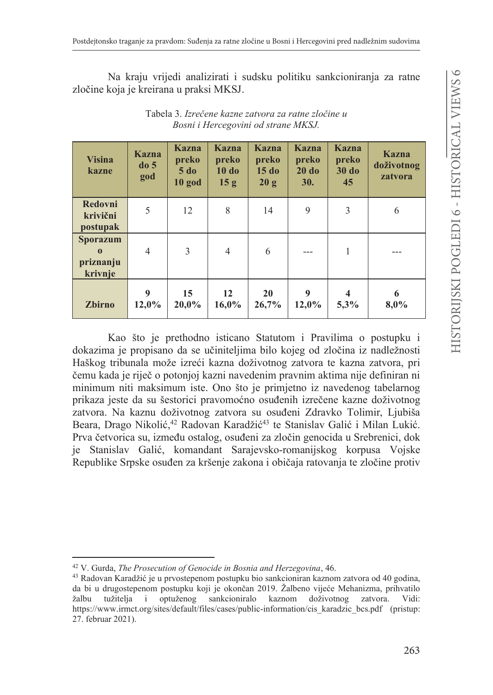Na kraju vrijedi analizirati i sudsku politiku sankcioniranja za ratne zločine koja je kreirana u praksi MKSJ.

| <b>Visina</b><br>kazne                              | <b>Kazna</b><br>do <sub>5</sub><br>god | <b>Kazna</b><br>preko<br>$5$ do<br>$10$ god | Kazna<br>preko<br>10 do<br>15 <sub>g</sub> | Kazna<br>preko<br>15d<br>20 g | Kazna<br>preko<br>20d<br><b>30.</b> | Kazna<br>preko<br>$30$ do<br>45    | <b>Kazna</b><br>doživotnog<br>zatvora |
|-----------------------------------------------------|----------------------------------------|---------------------------------------------|--------------------------------------------|-------------------------------|-------------------------------------|------------------------------------|---------------------------------------|
| Redovni<br>krivični<br>postupak                     | 5                                      | 12                                          | 8                                          | 14                            | 9                                   | 3                                  | 6                                     |
| <b>Sporazum</b><br>$\bf{0}$<br>priznanju<br>krivnje | $\overline{4}$                         | 3                                           | $\overline{4}$                             | 6                             |                                     |                                    |                                       |
| <b>Zbirno</b>                                       | 9<br>12,0%                             | 15<br>20,0%                                 | 12 <sup>2</sup><br>16,0%                   | <b>20</b><br>26,7%            | 9<br>12,0%                          | $\overline{\mathbf{4}}$<br>$5.3\%$ | 6<br>8,0%                             |

7DEHOD*Izreþene kazne zatvora za ratne zloþine u Bosni i Hercegovini od strane MKSJ.* 

Kao što je prethodno isticano Statutom i Pravilima o postupku i dokazima je propisano da se učiniteljima bilo kojeg od zločina iz nadležnosti Haškog tribunala može izreći kazna doživotnog zatvora te kazna zatvora, pri čemu kada je riječ o potonjoj kazni navedenim pravnim aktima nije definiran ni minimum niti maksimum iste. Ono što je primjetno iz navedenog tabelarnog prikaza jeste da su šestorici pravomoćno osuđenih izrečene kazne doživotnog zatvora. Na kaznu doživotnog zatvora su osuđeni Zdravko Tolimir, Ljubiša Beara, Drago Nikolić,<sup>42</sup> Radovan Karadžić<sup>43</sup> te Stanislav Galić i Milan Lukić. Prva četvorica su, između ostalog, osuđeni za zločin genocida u Srebrenici, dok je Stanislav Galić, komandant Sarajevsko-romanijskog korpusa Vojske Republike Srpske osuđen za kršenje zakona i običaja ratovanja te zločine protiv

<sup>&</sup>lt;sup>42</sup> V. Gurda, *The Prosecution of Genocide in Bosnia and Herzegovina*, 46.

<sup>&</sup>lt;sup>43</sup> Radovan Karadžić je u prvostepenom postupku bio sankcioniran kaznom zatvora od 40 godina, da bi u drugostepenom postupku koji je okončan 2019. Žalbeno vijeće Mehanizma, prihvatilo žalbu tužitelja i optuženog sankcioniralo kaznom doživotnog zatvora. Vidi: https://www.irmct.org/sites/default/files/cases/public-information/cis karadzic bcs.pdf (pristup: 27. februar 2021).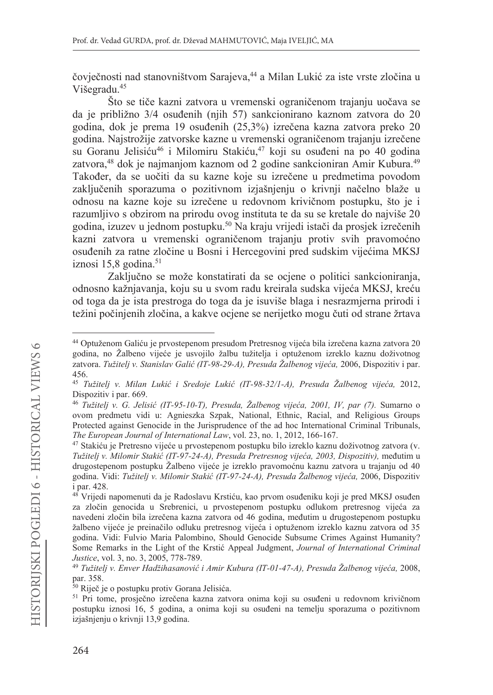čovječnosti nad stanovništvom Sarajeva,<sup>44</sup> a Milan Lukić za iste vrste zločina u Višegradu.<sup>45</sup>

Što se tiče kazni zatvora u vremenski ograničenom trajanju uočava se da je približno 3/4 osuđenih (njih 57) sankcionirano kaznom zatvora do 20 godina, dok je prema 19 osuđenih (25,3%) izrečena kazna zatvora preko 20 godina. Najstrožije zatvorske kazne u vremenski ograničenom trajanju izrečene su Goranu Jelisiću<sup>46</sup> i Milomiru Stakiću,<sup>47</sup> koji su osuđeni na po 40 godina zatvora.<sup>48</sup> dok je najmanjom kaznom od 2 godine sankcioniran Amir Kubura.<sup>49</sup> Također, da se uočiti da su kazne koje su izrečene u predmetima povodom zaključenih sporazuma o pozitivnom izjašnjenju o krivnji načelno blaže u odnosu na kazne koje su izrečene u redovnom krivičnom postupku, što je i razumljivo s obzirom na prirodu ovog instituta te da su se kretale do najviše 20 godina, izuzev u jednom postupku.<sup>50</sup> Na kraju vrijedi istači da prosjek izrečenih kazni zatvora u vremenski ograničenom trajanju protiv svih pravomoćno osuđenih za ratne zločine u Bosni i Hercegovini pred sudskim vijećima MKSJ iznosi 15,8 godina. $51$ 

Zaključno se može konstatirati da se ocjene o politici sankcioniranja, odnosno kažnjavanja, koju su u svom radu kreirala sudska vijeća MKSJ, kreću od toga da je ista prestroga do toga da je isuviše blaga i nesrazmjerna prirodi i težini počinjenih zločina, a kakve ocjene se nerijetko mogu čuti od strane žrtava

<sup>&</sup>lt;sup>44</sup> Optuženom Galiću je prvostepenom presudom Pretresnog vijeća bila izrečena kazna zatvora 20 godina, no Žalbeno vijeće je usvojilo žalbu tužitelja i optuženom izreklo kaznu doživotnog zatvora. Tužitelj v. Stanislav Galić (IT-98-29-A), Presuda Žalbenog vijeća, 2006, Dispozitiv i par. 456.

<sup>&</sup>lt;sup>45</sup> Tužitelj v. Milan Lukić i Sredoje Lukić (IT-98-32/1-A), Presuda Žalbenog vijeća, 2012, Dispozitiv i par. 669.

<sup>46</sup> Tužitelj v. G. Jelisić (IT-95-10-T), Presuda, Žalbenog vijeća, 2001, IV, par (7). Sumarno o ovom predmetu vidi u: Agnieszka Szpak, National, Ethnic, Racial, and Religious Groups Protected against Genocide in the Jurisprudence of the ad hoc International Criminal Tribunals, The European Journal of International Law, vol. 23, no. 1, 2012, 166-167.

<sup>47</sup> Stakiću je Pretresno vijeće u prvostepenom postupku bilo izreklo kaznu doživotnog zatvora (v. Tužitelj v. Milomir Stakić (IT-97-24-A), Presuda Pretresnog vijeća, 2003, Dispozitiv), međutim u drugostepenom postupku Žalbeno vijeće je izreklo pravomoćnu kaznu zatvora u trajanju od 40 godina. Vidi: Tužitelj v. Milomir Stakić (IT-97-24-A), Presuda Žalbenog vijeća, 2006, Dispozitiv i par. 428.

<sup>48</sup> Vrijedi napomenuti da je Radoslavu Krstiću, kao prvom osuđeniku koji je pred MKSJ osuđen za zločin genocida u Srebrenici, u prvostepenom postupku odlukom pretresnog vijeća za navedeni zločin bila izrečena kazna zatvora od 46 godina, međutim u drugostepenom postupku žalbeno vijeće je preinačilo odluku pretresnog vijeća i optuženom izreklo kaznu zatvora od 35 godina. Vidi: Fulvio Maria Palombino, Should Genocide Subsume Crimes Against Humanity? Some Remarks in the Light of the Krstić Appeal Judgment, Journal of International Criminal Justice, vol. 3, no. 3, 2005, 778-789.

<sup>&</sup>lt;sup>49</sup> Tužitelj v. Enver Hadžihasanović i Amir Kubura (IT-01-47-A), Presuda Žalbenog vijeća, 2008, par. 358.

<sup>50</sup> Riječ je o postupku protiv Gorana Jelisića.

<sup>&</sup>lt;sup>51</sup> Pri tome, prosječno izrečena kazna zatvora onima koji su osuđeni u redovnom krivičnom postupku iznosi 16, 5 godina, a onima koji su osuđeni na temelju sporazuma o pozitivnom izjašnjenju o krivnji 13,9 godina.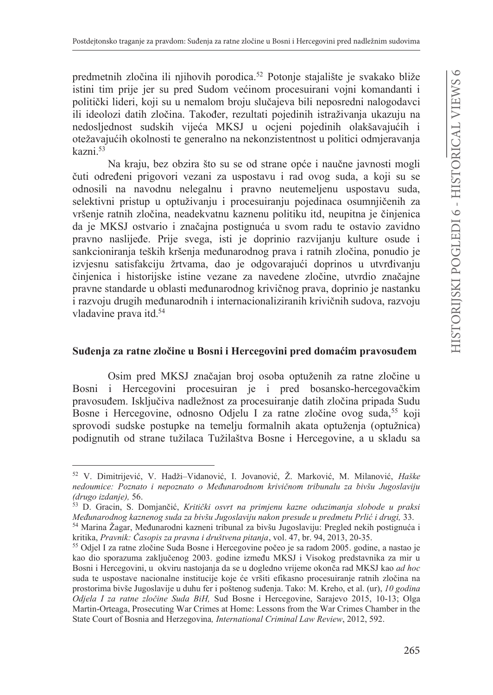predmetnih zločina ili njihovih porodica.<sup>52</sup> Potonje stajalište je svakako bliže istini tim prije jer su pred Sudom većinom procesuirani vojni komandanti i politički lideri, koji su u nemalom broju slučajeva bili neposredni nalogodavci ili ideolozi datih zločina. Također, rezultati pojedinih istraživanja ukazuju na nedosljednost sudskih vijeća MKSJ u ocjeni pojedinih olakšavajućih i otežavajućih okolnosti te generalno na nekonzistentnost u politici odmjeravanja kazni 53

Na kraju, bez obzira što su se od strane opće i naučne javnosti mogli čuti određeni prigovori vezani za uspostavu i rad ovog suda, a koji su se odnosili na navodnu nelegalnu i pravno neutemeljenu uspostavu suda, selektivni pristup u optuživanju i procesuiranju pojedinaca osumnjičenih za vršenje ratnih zločina, neadekvatnu kaznenu politiku itd, neupitna je činjenica da je MKSJ ostvario i značajna postignuća u svom radu te ostavio zavidno pravno naslijeđe. Prije svega, isti je doprinio razvijanju kulture osude i sankcioniranja teških kršenja međunarodnog prava i ratnih zločina, ponudio je izvjesnu satisfakciju žrtvama, dao je odgovarajući doprinos u utvrđivanju činjenica i historijske istine vezane za navedene zločine, utvrdio značajne pravne standarde u oblasti međunarodnog krivičnog prava, doprinio je nastanku i razvoju drugih međunarodnih i internacionaliziranih krivičnih sudova, razvoju vladavine prava itd.<sup>54</sup>

### Suđenja za ratne zločine u Bosni i Hercegovini pred domaćim pravosuđem

Osim pred MKSJ značajan broj osoba optuženih za ratne zločine u Bosni i Hercegovini procesuiran je i pred bosansko-hercegovačkim pravosuđem. Isključiva nadležnost za procesuiranje datih zločina pripada Sudu Bosne i Hercegovine, odnosno Odjelu I za ratne zločine ovog suda,<sup>55</sup> koji sprovodi sudske postupke na temelju formalnih akata optuženja (optužnica) podignutih od strane tužilaca Tužilaštva Bosne i Hercegovine, a u skladu sa

<sup>&</sup>lt;sup>52</sup> V. Dimitrijević, V. Hadži-Vidanović, I. Jovanović, Ž. Marković, M. Milanović, Haške nedoumice: Poznato i nepoznato o Međunarodnom krivičnom tribunalu za bivšu Jugoslaviju (drugo izdanje), 56.

<sup>53</sup> D. Gracin, S. Domjančić, Kritički osvrt na primjenu kazne oduzimanja slobode u praksi Međunarodnog kaznenog suda za bivšu Jugoslaviju nakon presude u predmetu Prlić i drugi, 33.

<sup>54</sup> Marina Žagar, Međunarodni kazneni tribunal za bivšu Jugoslaviju: Pregled nekih postignuća i kritika, Pravnik: Časopis za pravna i društvena pitanja, vol. 47, br. 94, 2013, 20-35.

<sup>&</sup>lt;sup>55</sup> Odjel I za ratne zločine Suda Bosne i Hercegovine počeo je sa radom 2005. godine, a nastao je kao dio sporazuma zaključenog 2003. godine između MKSJ i Visokog predstavnika za mir u Bosni i Hercegovini, u okviru nastojanja da se u dogledno vrijeme okonča rad MKSJ kao *ad hoc* suda te uspostave nacionalne institucije koje će vršiti efikasno procesuiranje ratnih zločina na prostorima bivše Jugoslavije u duhu fer i poštenog suđenja. Tako: M. Kreho, et al. (ur), 10 godina Odjela I za ratne zločine Suda BiH, Sud Bosne i Hercegovine, Sarajevo 2015, 10-13; Olga Martin-Orteaga, Prosecuting War Crimes at Home: Lessons from the War Crimes Chamber in the State Court of Bosnia and Herzegovina, International Criminal Law Review, 2012, 592.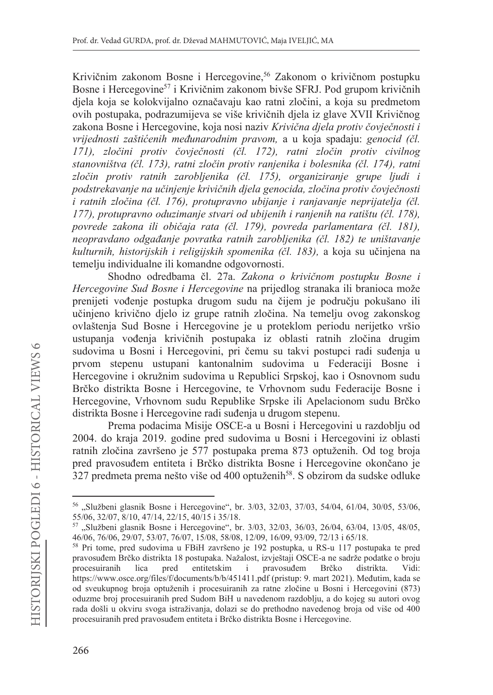Krivičnim zakonom Bosne i Hercegovine,<sup>56</sup> Zakonom o krivičnom postupku Bosne i Hercegovine<sup>57</sup> i Krivičnim zakonom bivše SFRJ. Pod grupom krivičnih djela koja se kolokvijalno označavaju kao ratni zločini, a koja su predmetom ovih postupaka, podrazumijeva se više krivičnih djela iz glave XVII Krivičnog  $Za$ kona Bosne i Hercegovine, koja nosi naziv Krivična djela protiv čovječnosti i *vrijednosti zaštićenih međunarodnim pravom, a u koja spadaju: genocid (čl. 171), zloþini protiv þovjeþnosti (þl. 172), ratni zloþin protiv civilnog stanovništva (þl. 173), ratni zloþin protiv ranjenika i bolesnika (þl. 174), ratni zloþin protiv ratnih zarobljenika (þl. 175), organiziranje grupe ljudi i podstrekavanje na uþinjenje kriviþnih djela genocida, zloþina protiv þovjeþnosti i ratnih zloþina (þl. 176), protupravno ubijanje i ranjavanje neprijatelja (þl. 177), protupravno oduzimanje stvari od ubijenih i ranjenih na ratištu (þl. 178), povrede zakona ili obiþaja rata (þl. 179), povreda parlamentara (þl. 181), neopravdano odgaÿanje povratka ratnih zarobljenika (þl. 182) te uništavanje kulturnih, historijskih i religijskih spomenika (čl. 183), a koja su učinjena na* temeliu individualne ili komandne odgovornosti.

Shodno odredbama čl. 27a. Zakona o krivičnom postupku Bosne i *Hercegovine Sud Bosne i Hercegovine* na prijedlog stranaka ili branioca može prenijeti vođenje postupka drugom sudu na čijem je području pokušano ili učinjeno krivično djelo iz grupe ratnih zločina. Na temelju ovog zakonskog ovlaštenja Sud Bosne i Hercegovine je u proteklom periodu nerijetko vršio ustupanja vođenja krivičnih postupaka iz oblasti ratnih zločina drugim sudovima u Bosni i Hercegovini, pri čemu su takvi postupci radi suđenja u prvom stepenu ustupani kantonalnim sudovima u Federaciji Bosne i Hercegovine i okružnim sudovima u Republici Srpskoj, kao i Osnovnom sudu Brčko distrikta Bosne i Hercegovine, te Vrhovnom sudu Federacije Bosne i Hercegovine, Vrhovnom sudu Republike Srpske ili Apelacionom sudu Brčko distrikta Bosne i Hercegovine radi suđenja u drugom stepenu.

Prema podacima Misije OSCE-a u Bosni i Hercegovini u razdoblju od 2004. do kraja 2019. godine pred sudovima u Bosni i Hercegovini iz oblasti ratnih zločina završeno je 577 postupaka prema 873 optuženih. Od tog broja pred pravosuđem entiteta i Brčko distrikta Bosne i Hercegovine okončano je 327 predmeta prema nešto više od 400 optuženih<sup>58</sup>. S obzirom da sudske odluke

 $56$  "Službeni glasnik Bosne i Hercegovine", br. 3/03, 32/03, 37/03, 54/04, 61/04, 30/05, 53/06, 55/06, 32/07, 8/10, 47/14, 22/15, 40/15 i 35/18.

 $57$  "Službeni glasnik Bosne i Hercegovine", br. 3/03, 32/03, 36/03, 26/04, 63/04, 13/05, 48/05, 46/06, 76/06, 29/07, 53/07, 76/07, 15/08, 58/08, 12/09, 16/09, 93/09, 72/13 i 65/18.

<sup>&</sup>lt;sup>58</sup> Pri tome, pred sudovima u FBiH završeno je 192 postupka, u RS-u 117 postupaka te pred pravosuđem Brčko distrikta 18 postupaka. Nažalost, izvještaji OSCE-a ne sadrže podatke o broju<br>procesuiranih lica pred entitetskim i pravosuđem Brčko distrikta. Vidi: lica pred entitetskim i pravosuđem Brčko distrikta. Vidi: https://www.osce.org/files/f/documents/b/b/451411.pdf (pristup: 9. mart 2021). Međutim, kada se od sveukupnog broja optuženih i procesuiranih za ratne zločine u Bosni i Hercegovini (873) oduzme broj procesuiranih pred Sudom BiH u navedenom razdoblju, a do kojeg su autori ovog rada došli u okviru svoga istraživanja, dolazi se do prethodno navedenog broja od više od 400 procesuiranih pred pravosuđem entiteta i Brčko distrikta Bosne i Hercegovine.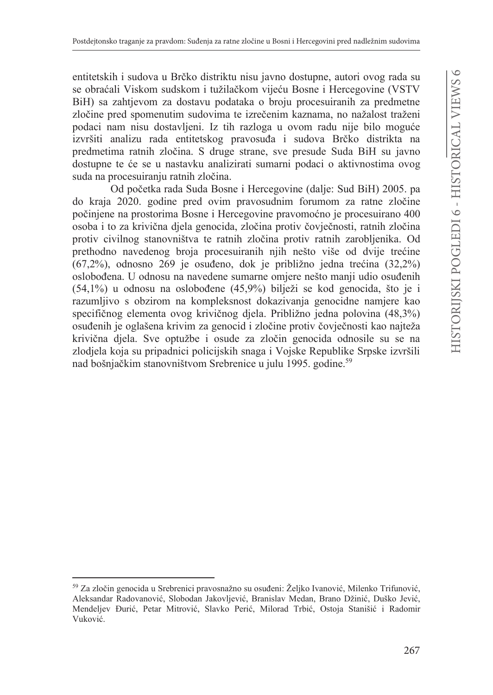entitetskih i sudova u Brčko distriktu nisu javno dostupne, autori ovog rada su se obraćali Viskom sudskom i tužilačkom vijeću Bosne i Hercegovine (VSTV BiH) sa zahtjevom za dostavu podataka o broju procesuiranih za predmetne zločine pred spomenutim sudovima te izrečenim kaznama, no nažalost traženi podaci nam nisu dostavljeni. Iz tih razloga u ovom radu nije bilo moguće izvršiti analizu rada entitetskog pravosuđa i sudova Brčko distrikta na predmetima ratnih zločina. S druge strane, sve presude Suda BiH su javno dostupne te će se u nastavku analizirati sumarni podaci o aktivnostima ovog suda na procesuiranju ratnih zločina.

Od početka rada Suda Bosne i Hercegovine (dalje: Sud BiH) 2005. pa do kraja 2020. godine pred ovim pravosudnim forumom za ratne zločine počinjene na prostorima Bosne i Hercegovine pravomoćno je procesuirano 400 osoba i to za krivična djela genocida, zločina protiv čovječnosti, ratnih zločina protiv civilnog stanovništva te ratnih zločina protiv ratnih zarobljenika. Od prethodno navedenog broja procesuiranih njih nešto više od dvije trećine  $(67,2\%)$ , odnosno 269 je osuđeno, dok je približno jedna trećina  $(32,2\%)$ oslobođena. U odnosu na navedene sumarne omjere nešto manji udio osuđenih  $(54,1%)$  u odnosu na oslobođene  $(45,9%)$  bilježi se kod genocida, što je i razumljivo s obzirom na kompleksnost dokazivanja genocidne namjere kao specifičnog elementa ovog krivičnog djela. Približno jedna polovina (48,3%) osuđenih je oglašena krivim za genocid i zločine protiv čovječnosti kao najteža krivična djela. Sve optužbe i osude za zločin genocida odnosile su se na zlodjela koja su pripadnici policijskih snaga i Vojske Republike Srpske izvršili nad bošnjačkim stanovništvom Srebrenice u julu 1995. godine.<sup>59</sup>

<sup>59</sup> Za zločin genocida u Srebrenici pravosnažno su osuđeni: Željko Ivanović, Milenko Trifunović, Aleksandar Radovanović, Slobodan Jakovljević, Branislav Medan, Brano Džinić, Duško Jević, Mendeljev Đurić, Petar Mitrović, Slavko Perić, Milorad Trbić, Ostoja Stanišić i Radomir Vuković.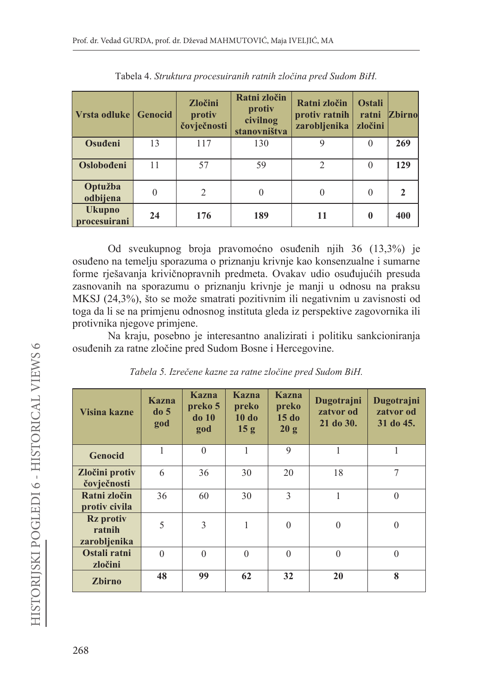| Vrsta odluke Genocid          |    | Zločini<br>protiv<br>čovječnosti | Ratni zločin<br>protiv<br>civilnog<br>stanovništva | Ratni zločin<br>protiv ratnih<br>zarobljenika | <b>Ostali</b><br>ratni<br>zločini | <b>Zbirno</b> |
|-------------------------------|----|----------------------------------|----------------------------------------------------|-----------------------------------------------|-----------------------------------|---------------|
| Osuđeni                       | 13 | 117                              | 130                                                | 9                                             | $\theta$                          | 269           |
| <b>Oslobođeni</b>             | 11 | 57                               | 59                                                 | $\mathcal{D}$                                 | $\Omega$                          | 129           |
| Optužba<br>odbijena           |    | $\overline{2}$                   | 0                                                  | $\theta$                                      |                                   |               |
| <b>Ukupno</b><br>procesuirani | 24 | 176                              | 189                                                | 11                                            |                                   | 400           |

| Tabela 4. Struktura procesuiranih ratnih zločina pred Sudom BiH. |  |  |  |  |
|------------------------------------------------------------------|--|--|--|--|
|------------------------------------------------------------------|--|--|--|--|

Od sveukupnog broja pravomoćno osuđenih njih 36 (13,3%) je osuđeno na temelju sporazuma o priznanju krivnje kao konsenzualne i sumarne forme riešavanja krivičnopravnih predmeta. Ovakav udio osuđujućih presuda zasnovanih na sporazumu o priznanju krivnje je manji u odnosu na praksu MKSJ (24,3%), što se može smatrati pozitivnim ili negativnim u zavisnosti od toga da li se na primjenu odnosnog instituta gleda iz perspektive zagovornika ili protivnika njegove primjene.

Na kraju, posebno je interesantno analizirati i politiku sankcioniranja osuđenih za ratne zločine pred Sudom Bosne i Hercegovine.

| Visina kazne                               | <b>Kazna</b><br>do <sub>5</sub><br>god | Kazna<br>preko 5<br>$do$ 10<br>god | Kazna<br>preko<br>$10$ do<br>15 g | Kazna<br>preko<br>15d<br>20 g | Dugotrajni<br>zatvor od<br>21 do 30. | Dugotrajni<br>zatvor od<br>31 do 45. |
|--------------------------------------------|----------------------------------------|------------------------------------|-----------------------------------|-------------------------------|--------------------------------------|--------------------------------------|
| <b>Genocid</b>                             |                                        | $\theta$                           | 1                                 | 9                             | 1                                    |                                      |
| Zločini protiv<br>čovječnosti              | 6                                      | 36                                 | 30                                | 20                            | 18                                   | 7                                    |
| Ratni zločin<br>protiv civila              | 36                                     | 60                                 | 30                                | 3                             | 1                                    | $\theta$                             |
| <b>Rz</b> protiv<br>ratnih<br>zarobljenika | 5                                      | 3                                  | 1                                 | $\Omega$                      | $\theta$                             | $\theta$                             |
| Ostali ratni<br>zločini                    | $\Omega$                               | $\theta$                           | $\theta$                          | $\Omega$                      | $\theta$                             | $\Omega$                             |
| <b>Zbirno</b>                              | 48                                     | 99                                 | 62                                | 32                            | 20                                   | 8                                    |

Tabela 5. Izrečene kazne za ratne zločine pred Sudom BiH.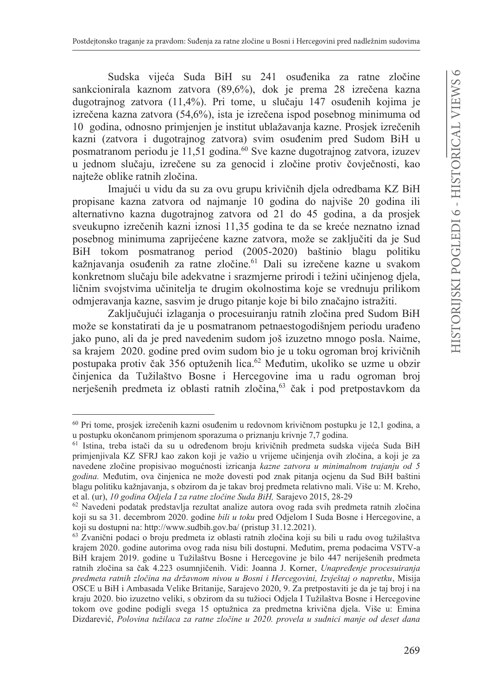Sudska vijeća Suda BiH su 241 osuđenika za ratne zločine sankcionirala kaznom zatvora (89,6%), dok je prema 28 izrečena kazna dugotrajnog zatvora (11,4%). Pri tome, u slučaju 147 osuđenih kojima je izrečena kazna zatvora (54,6%), ista je izrečena ispod posebnog minimuma od 10 godina, odnosno primjenjen je institut ublažavanja kazne. Prosjek izrečenih kazni (zatvora i dugotrajnog zatvora) svim osuđenim pred Sudom BiH u posmatranom periodu je 11,51 godina.<sup>60</sup> Sve kazne dugotrajnog zatvora, izuzev u jednom slučaju, izrečene su za genocid i zločine protiv čovječnosti, kao najteže oblike ratnih zločina.

Imajući u vidu da su za ovu grupu krivičnih djela odredbama KZ BiH propisane kazna zatvora od najmanje 10 godina do najviše 20 godina ili alternativno kazna dugotrajnog zatvora od 21 do 45 godina, a da prosjek sveukupno izrečenih kazni iznosi 11,35 godina te da se kreće neznatno iznad posebnog minimuma zaprijećene kazne zatvora, može se zaključiti da je Sud BiH tokom posmatranog period (2005-2020) baštinio blagu politiku kažnjavanja osuđenih za ratne zločine.<sup>61</sup> Dali su izrečene kazne u svakom konkretnom slučaju bile adekvatne i srazmjerne prirodi i težini učinjenog djela, ličnim svojstvima učinitelja te drugim okolnostima koje se vrednuju prilikom odmjeravanja kazne, sasvim je drugo pitanje koje bi bilo značajno istražiti.

Zaključujući izlaganja o procesuiranju ratnih zločina pred Sudom BiH može se konstatirati da je u posmatranom petnaestogodišnjem periodu urađeno jako puno, ali da je pred navedenim sudom još izuzetno mnogo posla. Naime, sa krajem 2020. godine pred ovim sudom bio je u toku ogroman broj krivičnih postupaka protiv čak 356 optuženih lica.<sup>62</sup> Međutim, ukoliko se uzme u obzir činjenica da Tužilaštvo Bosne i Hercegovine ima u radu ogroman broj nerješenih predmeta iz oblasti ratnih zločina,<sup>63</sup> čak i pod pretpostavkom da

<sup>60</sup> Pri tome, prosjek izrečenih kazni osuđenim u redovnom krivičnom postupku je 12,1 godina, a u postupku okončanom primjenom sporazuma o priznanju krivnje 7,7 godina.

<sup>61</sup> Istina, treba istači da su u određenom broju krivičnih predmeta sudska vijeća Suda BiH primjenjivala KZ SFRJ kao zakon koji je važio u vrijeme učinjenja ovih zločina, a koji je za navedene zločine propisivao mogućnosti izricanja kazne zatvora u minimalnom trajanju od 5 godina. Međutim, ova činjenica ne može dovesti pod znak pitanja ocjenu da Sud BiH baštini blagu politiku kažnjavanja, s obzirom da je takav broj predmeta relativno mali. Više u: M. Kreho, et al. (ur), 10 godina Odjela I za ratne zločine Suda BiH, Sarajevo 2015, 28-29

<sup>62</sup> Navedeni podatak predstavlja rezultat analize autora ovog rada svih predmeta ratnih zločina koji su sa 31. decembrom 2020. godine bili u toku pred Odjelom I Suda Bosne i Hercegovine, a koji su dostupni na: http://www.sudbih.gov.ba/ (pristup 31.12.2021).

<sup>63</sup> Zvanični podaci o broju predmeta iz oblasti ratnih zločina koji su bili u radu ovog tužilaštva krajem 2020. godine autorima ovog rada nisu bili dostupni. Međutim, prema podacima VSTV-a BiH krajem 2019. godine u Tužilaštvu Bosne i Hercegovine je bilo 447 neriješenih predmeta ratnih zločina sa čak 4.223 osumnjičenih. Vidi: Joanna J. Korner, Unapređenje procesuiranja predmeta ratnih zločina na državnom nivou u Bosni i Hercegovini, Izvještaj o napretku, Misija OSCE u BiH i Ambasada Velike Britanije, Sarajevo 2020, 9. Za pretpostaviti je da je taj broj i na kraju 2020. bio izuzetno veliki, s obzirom da su tužioci Odjela I Tužilaštva Bosne i Hercegovine tokom ove godine podigli svega 15 optužnica za predmetna krivična djela. Više u: Emina Dizdarević, Polovina tužilaca za ratne zločine u 2020. provela u sudnici manje od deset dana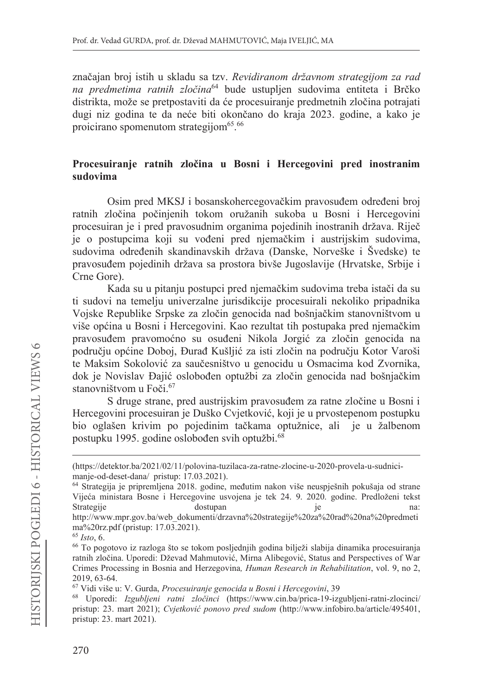značajan broj istih u skladu sa tzv. Revidiranom državnom strategijom za rad na predmetima ratnih zločina<sup>64</sup> bude ustupljen sudovima entiteta i Brčko distrikta, može se pretpostaviti da će procesuiranje predmetnih zločina potrajati dugi niz godina te da neće biti okončano do kraja 2023. godine, a kako je proicirano spomenutom strategijom<sup>65</sup>.<sup>66</sup>

### Procesuiranie ratnih zločina u Bosni i Hercegovini pred inostranim sudovima

Osim pred MKSJ i bosanskohercegovačkim pravosuđem određeni broj ratnih zločina počinjenih tokom oružanih sukoba u Bosni i Hercegovini procesuiran je i pred pravosudnim organima pojedinih inostranih država. Riječ je o postupcima koji su vođeni pred njemačkim i austrijskim sudovima, sudovima određenih skandinavskih država (Danske, Norveške i Švedske) te pravosuđem pojedinih država sa prostora bivše Jugoslavije (Hrvatske, Srbije i Crne Gore).

Kada su u pitanju postupci pred njemačkim sudovima treba istači da su ti sudovi na temelju univerzalne jurisdikcije procesuirali nekoliko pripadnika Vojske Republike Srpske za zločin genocida nad bošnjačkim stanovništvom u više općina u Bosni i Hercegovini. Kao rezultat tih postupaka pred njemačkim pravosuđem pravomoćno su osuđeni Nikola Jorgić za zločin genocida na području općine Doboj, Đurađ Kušljić za isti zločin na području Kotor Varoši te Maksim Sokolović za saučesništvo u genocidu u Osmacima kod Zvornika, dok je Novislav Đajić oslobođen optužbi za zločin genocida nad bošnjačkim stanovništvom u Foči.<sup>67</sup>

S druge strane, pred austrijskim pravosuđem za ratne zločine u Bosni i Hercegovini procesuiran je Duško Cvjetković, koji je u prvostepenom postupku bio oglašen krivim po pojedinim tačkama optužnice, ali je u žalbenom postupku 1995. godine oslobođen svih optužbi.<sup>68</sup>

<sup>(</sup>https://detektor.ba/2021/02/11/polovina-tuzilaca-za-ratne-zlocine-u-2020-provela-u-sudnicimanje-od-deset-dana/pristup: 17.03.2021).

<sup>64</sup> Strategija je pripremljena 2018. godine, međutim nakon više neuspješnih pokušaja od strane Vijeća ministara Bosne i Hercegovine usvojena je tek 24. 9. 2020. godine. Predloženi tekst Strategije dostupan je na: http://www.mpr.gov.ba/web\_dokumenti/drzavna%20strategije%20za%20rad%20na%20predmeti ma%20rz.pdf (pristup: 17.03.2021).

 $65$  Isto, 6.

<sup>66</sup> To pogotovo iz razloga što se tokom posljednjih godina bilježi slabija dinamika procesuiranja ratnih zločina. Uporedi: Dževad Mahmutović, Mirna Alibegović, Status and Perspectives of War Crimes Processing in Bosnia and Herzegovina, Human Research in Rehabilitation, vol. 9, no 2, 2019, 63-64.

<sup>67</sup> Vidi više u: V. Gurda, Procesuiranje genocida u Bosni i Hercegovini, 39

<sup>68</sup> Uporedi: Izgubljeni ratni zločinci (https://www.cin.ba/prica-19-izgubljeni-ratni-zlocinci/ pristup: 23. mart 2021); Cyjetković ponovo pred sudom (http://www.infobiro.ba/article/495401, pristup: 23. mart 2021).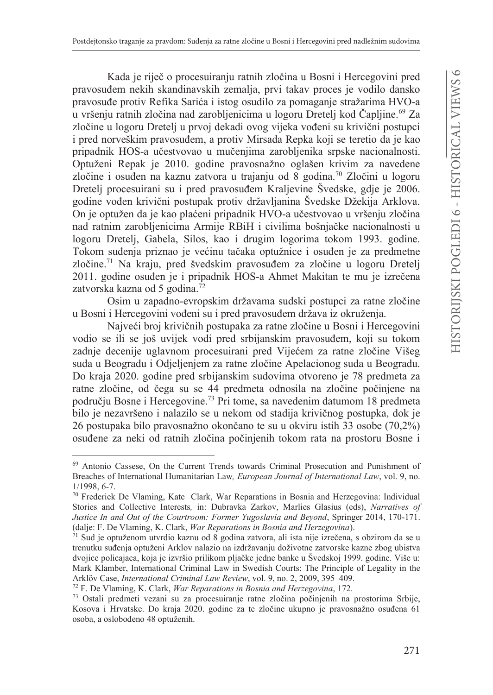Kada je riječ o procesuiranju ratnih zločina u Bosni i Hercegovini pred pravosuđem nekih skandinavskih zemalja, prvi takav proces je vodilo dansko pravosuđe protiv Refika Sarića i istog osudilo za pomaganje stražarima HVO-a u vršenju ratnih zločina nad zarobljenicima u logoru Dretelj kod Čapljine.<sup>69</sup> Za zločine u logoru Dretelj u prvoj dekadi ovog vijeka vođeni su krivični postupci i pred norveškim pravosuđem, a protiv Mirsada Repka koji se teretio da je kao pripadnik HOS-a učestvovao u mučenjima zarobljenika srpske nacionalnosti. Optuženi Repak je 2010. godine pravosnažno oglašen krivim za navedene zločine i osuđen na kaznu zatvora u trajanju od 8 godina.<sup>70</sup> Zločini u logoru Dretelj procesuirani su i pred pravosuđem Kraljevine Švedske, gdje je 2006. godine vođen krivični postupak protiv državljanina Švedske Džekija Arklova. On je optužen da je kao plaćeni pripadnik HVO-a učestvovao u vršenju zločina nad ratnim zarobljenicima Armije RBiH i civilima bošnjačke nacionalnosti u logoru Dretelj, Gabela, Silos, kao i drugim logorima tokom 1993. godine. Tokom suđenja priznao je većinu tačaka optužnice i osuđen je za predmetne zločine.<sup>71</sup> Na kraju, pred švedskim pravosuđem za zločine u logoru Dretelj 2011. godine osuđen je i pripadnik HOS-a Ahmet Makitan te mu je izrečena zatvorska kazna od 5 godina.<sup>72</sup>

Osim u zapadno-evropskim državama sudski postupci za ratne zločine u Bosni i Hercegovini vođeni su i pred pravosuđem država iz okruženja.

Najveći broj krivičnih postupaka za ratne zločine u Bosni i Hercegovini vodio se ili se još uvijek vodi pred srbijanskim pravosuđem, koji su tokom zadnje decenije uglavnom procesuirani pred Vijećem za ratne zločine Višeg suda u Beogradu i Odjeljenjem za ratne zločine Apelacionog suda u Beogradu. Do kraja 2020. godine pred srbijanskim sudovima otvoreno je 78 predmeta za ratne zločine, od čega su se 44 predmeta odnosila na zločine počinjene na području Bosne i Hercegovine.<sup>73</sup> Pri tome, sa navedenim datumom 18 predmeta bilo je nezavršeno i nalazilo se u nekom od stadija krivičnog postupka, dok je 26 postupaka bilo pravosnažno okončano te su u okviru istih 33 osobe (70,2%) osuđene za neki od ratnih zločina počinjenih tokom rata na prostoru Bosne i

<sup>&</sup>lt;sup>69</sup> Antonio Cassese, On the Current Trends towards Criminal Prosecution and Punishment of Breaches of International Humanitarian Law, European Journal of International Law, vol. 9, no.  $1/1998, 6-7.$ 

<sup>&</sup>lt;sup>70</sup> Frederiek De Vlaming, Kate Clark, War Reparations in Bosnia and Herzegovina: Individual Stories and Collective Interests, in: Dubravka Zarkov, Marlies Glasius (eds), Narratives of Justice In and Out of the Courtroom: Former Yugoslavia and Beyond, Springer 2014, 170-171. (dalje: F. De Vlaming, K. Clark, War Reparations in Bosnia and Herzegovina).

<sup>71</sup> Sud je optuženom utvrdio kaznu od 8 godina zatvora, ali ista nije izrečena, s obzirom da se u trenutku suđenja optuženi Arklov nalazio na izdržavanju doživotne zatvorske kazne zbog ubistva dvojice policajaca, koja je izvršio prilikom pljačke jedne banke u Švedskoj 1999. godine. Više u: Mark Klamber, International Criminal Law in Swedish Courts: The Principle of Legality in the Arklöv Case, International Criminal Law Review, vol. 9, no. 2, 2009, 395-409.

<sup>&</sup>lt;sup>72</sup> F. De Vlaming, K. Clark, *War Reparations in Bosnia and Herzegovina*, 172.

<sup>73</sup> Ostali predmeti vezani su za procesuiranje ratne zločina počinjenih na prostorima Srbije, Kosova i Hrvatske. Do kraja 2020. godine za te zločine ukupno je pravosnažno osuđena 61 osoba, a oslobođeno 48 optuženih.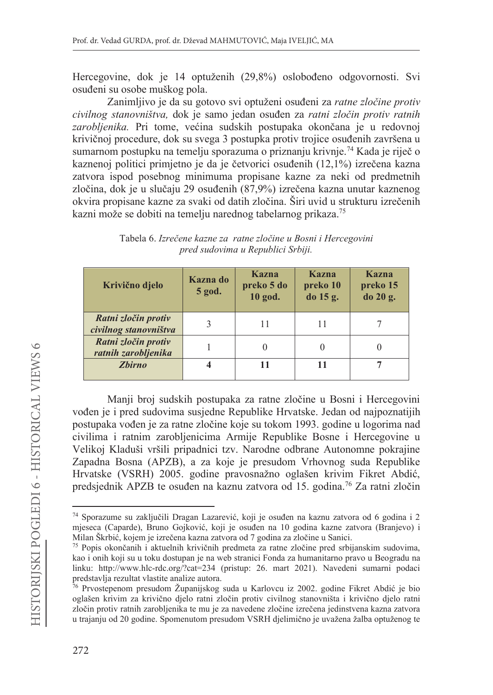Hercegovine, dok je 14 optuženih (29,8%) oslobođeno odgovornosti. Svi osuđeni su osobe muškog pola.

Zanimljivo je da su gotovo svi optuženi osuđeni za ratne zločine protiv civilnog stanovništva, dok je samo jedan osuđen za ratni zločin protiv ratnih zarobljenika. Pri tome, većina sudskih postupaka okončana je u redovnoj krivičnoj procedure, dok su svega 3 postupka protiv trojice osuđenih završena u sumarnom postupku na temelju sporazuma o priznanju krivnje.<sup>74</sup> Kada je riječ o kaznenoj politici primietno je da je četvorici osuđenih (12.1%) izrečena kazna zatvora ispod posebnog minimuma propisane kazne za neki od predmetnih zločina, dok je u slučaju 29 osuđenih (87,9%) izrečena kazna unutar kaznenog okvira propisane kazne za svaki od datih zločina. Širi uvid u strukturu izrečenih kazni može se dobiti na temelju narednog tabelarnog prikaza.<sup>75</sup>

| Krivično djelo                               | Kazna do<br>5 god. | Kazna<br>preko 5 do<br>10 god. | Kazna<br>preko 10<br>do 15 g. | Kazna<br>preko 15<br>do 20 g. |
|----------------------------------------------|--------------------|--------------------------------|-------------------------------|-------------------------------|
| Ratni zločin protiv<br>civilnog stanovništva |                    |                                |                               |                               |
| Ratni zločin protiv<br>ratnih zarobljenika   |                    |                                |                               |                               |
| <b>Zbirno</b>                                |                    |                                |                               |                               |

Tabela 6. Izrečene kazne za ratne zločine u Bosni i Hercegovini pred sudovima u Republici Srbiji.

Manji broj sudskih postupaka za ratne zločine u Bosni i Hercegovini vođen je i pred sudovima susjedne Republike Hrvatske. Jedan od najpoznatijih postupaka vođen je za ratne zločine koje su tokom 1993. godine u logorima nad civilima i ratnim zarobljenicima Armije Republike Bosne i Hercegovine u Velikoj Kladuši vršili pripadnici tzv. Narodne odbrane Autonomne pokrajine Zapadna Bosna (APZB), a za koje je presudom Vrhovnog suda Republike Hrvatske (VSRH) 2005. godine pravosnažno oglašen krivim Fikret Abdić, predsjednik APZB te osuđen na kaznu zatvora od 15. godina.<sup>76</sup> Za ratni zločin

<sup>74</sup> Sporazume su zaključili Dragan Lazarević, koji je osuđen na kaznu zatvora od 6 godina i 2 mjeseca (Caparde), Bruno Gojković, koji je osuđen na 10 godina kazne zatvora (Branjevo) i Milan Škrbić, kojem je izrečena kazna zatvora od 7 godina za zločine u Sanici.

<sup>75</sup> Popis okončanih i aktuelnih krivičnih predmeta za ratne zločine pred srbijanskim sudovima, kao i onih koji su u toku dostupan je na web stranici Fonda za humanitarno pravo u Beogradu na linku: http://www.hlc-rdc.org/?cat=234 (pristup: 26. mart 2021). Navedeni sumarni podaci predstavlja rezultat vlastite analize autora.

<sup>76</sup> Prvostepenom presudom Županijskog suda u Karlovcu iz 2002. godine Fikret Abdić je bio oglašen krivim za krivično djelo ratni zločin protiv civilnog stanovništa i krivično djelo ratni zločin protiv ratnih zarobljenika te mu je za navedene zločine izrečena jedinstvena kazna zatvora u trajanju od 20 godine. Spomenutom presudom VSRH djelimično je uvažena žalba optuženog te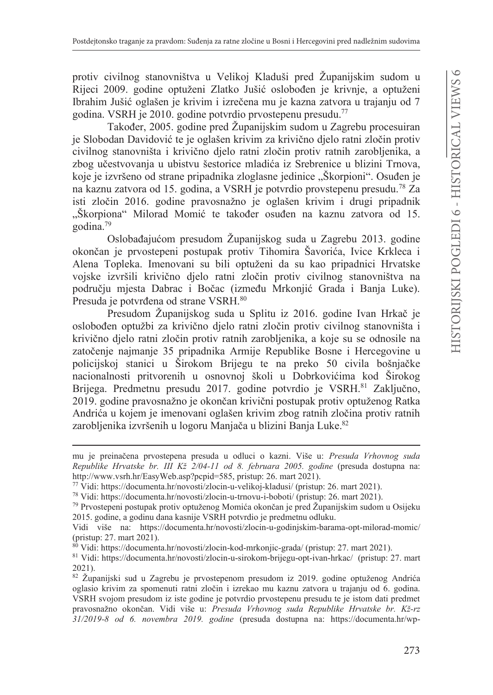protiv civilnog stanovništva u Velikoj Kladuši pred Županijskim sudom u Rijeci 2009. godine optuženi Zlatko Jušić oslobođen je krivnje, a optuženi Ibrahim Jušić oglašen je krivim i izrečena mu je kazna zatvora u trajanju od 7 godina. VSRH je 2010. godine potvrdio prvostepenu presudu.<sup>77</sup>

Također, 2005. godine pred Županijskim sudom u Zagrebu procesuiran je Slobodan Davidović te je oglašen krivim za krivično djelo ratni zločin protiv civilnog stanovništa i krivično djelo ratni zločin protiv ratnih zarobljenika, a zbog učestvovanja u ubistvu šestorice mladića iz Srebrenice u blizini Trnova, koje je izvršeno od strane pripadnika zloglasne jedinice "Škorpioni". Osuđen je na kaznu zatvora od 15. godina, a VSRH je potvrdio provstepenu presudu.<sup>78</sup> Za isti zločin 2016. godine pravosnažno je oglašen krivim i drugi pripadnik "Škorpiona" Milorad Momić te također osuđen na kaznu zatvora od 15.  $\alpha$ odina.<sup>79</sup>

Oslobađajućom presudom Županijskog suda u Zagrebu 2013. godine okončan je prvostepeni postupak protiv Tihomira Šavorića, Ivice Krkleca i Alena Topleka. Imenovani su bili optuženi da su kao pripadnici Hrvatske vojske izvršili krivično djelo ratni zločin protiv civilnog stanovništva na području mjesta Dabrac i Bočac (između Mrkonjić Grada i Banja Luke). Presuda je potvrđena od strane VSRH.<sup>80</sup>

Presudom Županijskog suda u Splitu iz 2016. godine Ivan Hrkač je oslobođen optužbi za krivično dielo ratni zločin protiv civilnog stanovništa i krivično djelo ratni zločin protiv ratnih zarobljenika, a koje su se odnosile na zatočenje najmanje 35 pripadnika Armije Republike Bosne i Hercegovine u policijskoj stanici u Širokom Brijegu te na preko 50 civila bošnjačke nacionalnosti pritvorenih u osnovnoj školi u Dobrkovićima kod Širokog Brijega. Predmetnu presudu 2017. godine potvrdio je VSRH.<sup>81</sup> Zaključno, 2019. godine pravosnažno je okončan krivični postupak protiv optuženog Ratka Andrića u kojem je imenovani oglašen krivim zbog ratnih zločina protiv ratnih zarobljenika izvršenih u logoru Manjača u blizini Banja Luke.<sup>82</sup>

<sup>78</sup> Vidi: https://documenta.hr/novosti/zlocin-u-trnovu-i-boboti/ (pristup: 26. mart 2021).

mu je preinačena prvostepena presuda u odluci o kazni. Više u: Presuda Vrhovnog suda Republike Hrvatske br. III Kž 2/04-11 od 8. februara 2005. godine (presuda dostupna na: http://www.vsrh.hr/EasyWeb.asp?pcpid=585, pristup: 26. mart 2021).

<sup>77</sup> Vidi: https://documenta.hr/novosti/zlocin-u-velikoj-kladusi/ (pristup: 26. mart 2021).

<sup>79</sup> Prvostepeni postupak protiv optuženog Momića okončan je pred Županijskim sudom u Osijeku 2015. godine, a godinu dana kasnije VSRH potvrdio je predmetnu odluku.

Vidi više na: https://documenta.hr/novosti/zlocin-u-godinjskim-barama-opt-milorad-momic/ (pristup: 27. mart 2021).

<sup>&</sup>lt;sup>80</sup> Vidi: https://documenta.hr/novosti/zlocin-kod-mrkonjic-grada/ (pristup: 27. mart 2021).

<sup>81</sup> Vidi: https://documenta.hr/novosti/zlocin-u-sirokom-brijegu-opt-ivan-hrkac/ (pristup: 27. mart 2021)

<sup>82</sup> Županijski sud u Zagrebu je prvostepenom presudom iz 2019. godine optuženog Andrića oglasio krivim za spomenuti ratni zločin i izrekao mu kaznu zatvora u trajanju od 6. godina. VSRH svojom presudom iz iste godine je potvrdio prvostepenu presudu te je istom dati predmet pravosnažno okončan. Vidi više u: Presuda Vrhovnog suda Republike Hrvatske br. Kž-rz 31/2019-8 od 6. novembra 2019. godine (presuda dostupna na: https://documenta.hr/wp-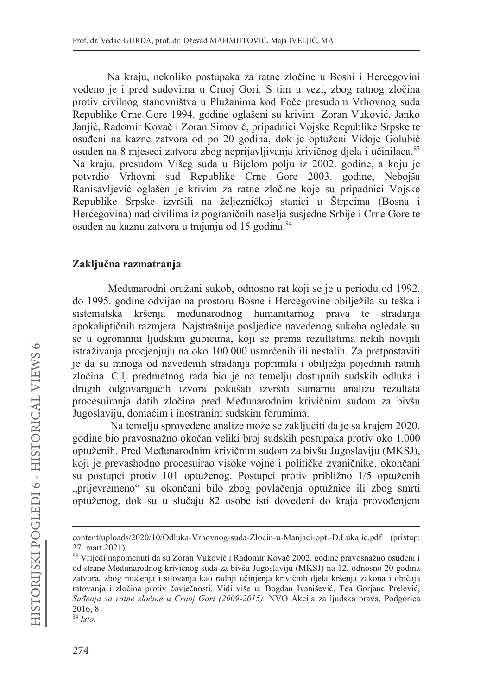Na kraju, nekoliko postupaka za ratne zločine u Bosni i Hercegovini vođeno je i pred sudovima u Crnoj Gori. S tim u vezi, zbog ratnog zločina protiv civilnog stanovništva u Plužanima kod Foče presudom Vrhovnog suda Republike Crne Gore 1994. godine oglašeni su krivim Zoran Vuković, Janko Janjić, Radomir Kovač i Zoran Simović, pripadnici Vojske Republike Srpske te osuđeni na kazne zatvora od po 20 godina, dok je optuženi Vidoje Golubić osuđen na 8 mjeseci zatvora zbog neprijavljivanja krivičnog djela i učinilaca.<sup>83</sup> Na kraju, presudom Višeg suda u Bijelom polju iz 2002. godine, a koju je potvrdio Vrhovni sud Republike Crne Gore 2003. godine, Nebojša Ranisavljević oglašen je krivim za ratne zločine koje su pripadnici Vojske Republike Srpske izvršili na željezničkoj stanici u Štrpcima (Bosna i Hercegovina) nad civilima iz pograničnih naselja susjedne Srbije i Crne Gore te osuđen na kaznu zatvora u trajanju od 15 godina.<sup>84</sup>

#### Zaključna razmatranja

Međunarodni oružani sukob, odnosno rat koji se je u periodu od 1992. do 1995. godine odvijao na prostoru Bosne i Hercegovine obilježila su teška i sistematska kršenja međunarodnog humanitarnog prava te stradanja apokaliptičnih razmiera. Naistrašnije posliedice navedenog sukoba ogledale su se u ogromnim ljudskim gubicima, koji se prema rezultatima nekih novijih istraživanja procjenjuju na oko 100.000 usmrćenih ili nestalih. Za pretpostaviti je da su mnoga od navedenih stradanja poprimila i obilježja pojedinih ratnih zločina. Cilj predmetnog rada bio je na temelju dostupnih sudskih odluka i drugih odgovarajućih izvora pokušati izvršiti sumarnu analizu rezultata procesuiranja datih zločina pred Međunarodnim krivičnim sudom za bivšu Jugoslaviju, domaćim i inostranim sudskim forumima.

Na temelju sprovedene analize može se zaključiti da je sa krajem 2020. godine bio pravosnažno okočan veliki broj sudskih postupaka protiv oko 1.000 optuženih. Pred Međunarodnim krivičnim sudom za bivšu Jugoslaviju (MKSJ), koji je prevashodno procesuirao visoke vojne i političke zvaničnike, okončani su postupci protiv 101 optuženog. Postupci protiv približno 1/5 optuženih "prijevremeno" su okončani bilo zbog povlačenja optužnice ili zbog smrti optuženog, dok su u slučaju 82 osobe isti dovedeni do kraja provođenjem

content/uploads/2020/10/Odluka-Vrhovnog-suda-Zlocin-u-Manjaci-opt.-D.Lukajic.pdf (pristup: 27. mart 2021).

<sup>83</sup> Vrijedi napomenuti da su Zoran Vuković i Radomir Kovač 2002. godine pravosnažno osuđeni i od strane Međunarodnog krivičnog suda za bivšu Jugoslaviju (MKSJ) na 12, odnosno 20 godina zatvora, zbog mučenja i silovanja kao radnji učinjenja krivičnih djela kršenja zakona i običaja ratovanja i zločina protiv čovječnosti. Vidi više u: Bogdan Ivanišević, Tea Gorjanc Prelević, Suđenja za ratne zločine u Crnoj Gori (2009-2015), NVO Akcija za ljudska prava, Podgorica 2016.8

 $84$  Isto.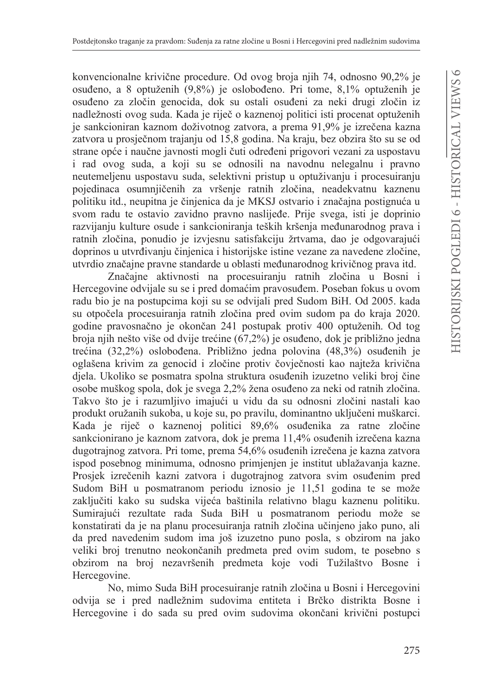konvencionalne krivične procedure. Od ovog broja njih 74, odnosno 90,2% je osuđeno, a 8 optuženih (9,8%) je oslobođeno. Pri tome, 8,1% optuženih je osuđeno za zločin genocida, dok su ostali osuđeni za neki drugi zločin iz nadležnosti ovog suda. Kada je riječ o kaznenoj politici isti procenat optuženih je sankcioniran kaznom doživotnog zatvora, a prema 91,9% je izrečena kazna zatvora u prosječnom trajanju od 15,8 godina. Na kraju, bez obzira što su se od strane opće i naučne javnosti mogli čuti određeni prigovori vezani za uspostavu i rad ovog suda, a koji su se odnosili na navodnu nelegalnu i pravno neutemeljenu uspostavu suda, selektivni pristup u optuživanju i procesuiranju pojedinaca osumnjičenih za vršenje ratnih zločina, neadekvatnu kaznenu politiku itd., neupitna je činjenica da je MKSJ ostvario i značajna postignuća u svom radu te ostavio zavidno pravno naslijeđe. Prije svega, isti je doprinio razvijanju kulture osude i sankcioniranja teških kršenja međunarodnog prava i ratnih zločina, ponudio je izvjesnu satisfakciju žrtvama, dao je odgovarajući doprinos u utvrđivanju činjenica i historijske istine vezane za navedene zločine, utvrdio značajne pravne standarde u oblasti međunarodnog krivičnog prava itd.

Značajne aktivnosti na procesuiranju ratnih zločina u Bosni i Hercegovine odvijale su se i pred domaćim pravosuđem. Poseban fokus u ovom radu bio je na postupcima koji su se odvijali pred Sudom BiH. Od 2005. kada su otpočela procesuiranja ratnih zločina pred ovim sudom pa do kraja 2020. godine pravosnačno je okončan 241 postupak protiv 400 optuženih. Od tog broja njih nešto više od dvije trećine (67,2%) je osuđeno, dok je približno jedna trećina (32,2%) oslobođena. Približno jedna polovina (48,3%) osuđenih je oglašena krivim za genocid i zločine protiv čovječnosti kao najteža krivična djela. Ukoliko se posmatra spolna struktura osuđenih izuzetno veliki broj čine osobe muškog spola, dok je svega 2,2% žena osuđeno za neki od ratnih zločina. Takvo što je i razumljivo imajući u vidu da su odnosni zločini nastali kao produkt oružanih sukoba, u koje su, po pravilu, dominantno uključeni muškarci. Kada je riječ o kaznenoj politici 89,6% osuđenika za ratne zločine sankcionirano je kaznom zatvora, dok je prema 11,4% osuđenih izrečena kazna dugotrajnog zatvora. Pri tome, prema 54,6% osuđenih izrečena je kazna zatvora ispod posebnog minimuma, odnosno primjenjen je institut ublažavanja kazne. Prosjek izrečenih kazni zatvora i dugotrajnog zatvora svim osuđenim pred Sudom BiH u posmatranom periodu iznosio je 11,51 godina te se može zaključiti kako su sudska vijeća baštinila relativno blagu kaznenu politiku. Sumirajući rezultate rada Suda BiH u posmatranom periodu može se konstatirati da je na planu procesuiranja ratnih zločina učinjeno jako puno, ali da pred navedenim sudom ima još izuzetno puno posla, s obzirom na jako veliki broj trenutno neokončanih predmeta pred ovim sudom, te posebno s obzirom na broj nezavršenih predmeta koje vodi Tužilaštvo Bosne i Hercegovine.

No, mimo Suda BiH procesuiranje ratnih zločina u Bosni i Hercegovini odvija se i pred nadležnim sudovima entiteta i Brčko distrikta Bosne i Hercegovine i do sada su pred ovim sudovima okončani krivični postupci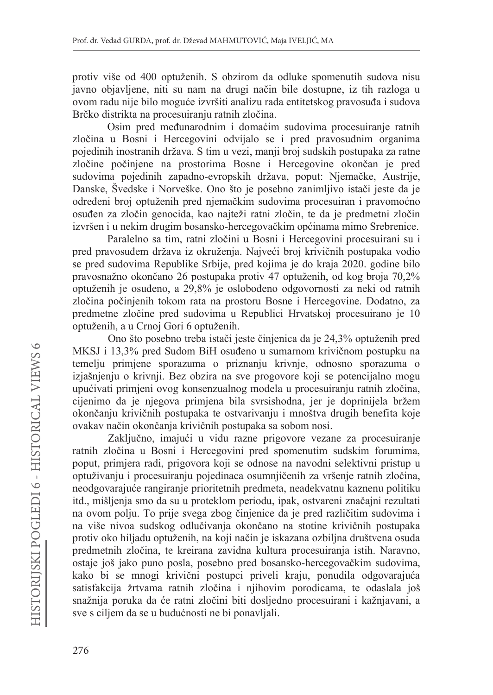protiv više od 400 optuženih. S obzirom da odluke spomenutih sudova nisu javno objavljene, niti su nam na drugi način bile dostupne, iz tih razloga u ovom radu nije bilo moguće izvršiti analizu rada entitetskog pravosuđa i sudova Brčko distrikta na procesuiranju ratnih zločina.

Osim pred međunarodnim i domaćim sudovima procesuiranje ratnih zločina u Bosni i Hercegovini odvijalo se i pred pravosudnim organima pojedinih inostranih država. S tim u vezi, manji broj sudskih postupaka za ratne zločine počiniene na prostorima Bosne i Hercegovine okončan je pred sudovima pojedinih zapadno-evropskih država, poput: Njemačke, Austrije, Danske, Švedske i Norveške. Ono što je posebno zanimljivo istači jeste da je određeni broj optuženih pred njemačkim sudovima procesuiran i pravomoćno osuđen za zločin genocida, kao najteži ratni zločin, te da je predmetni zločin izvršen i u nekim drugim bosansko-hercegovačkim općinama mimo Srebrenice.

Paralelno sa tim, ratni zločini u Bosni i Hercegovini procesuirani su i pred pravosuđem država iz okruženja. Najveći broj krivičnih postupaka vodio se pred sudovima Republike Srbije, pred kojima je do kraja 2020. godine bilo pravosnažno okončano 26 postupaka protiv 47 optuženih, od kog broja 70,2% optuženih je osuđeno, a 29,8% je oslobođeno odgovornosti za neki od ratnih zločina počinjenih tokom rata na prostoru Bosne i Hercegovine. Dodatno, za predmetne zločine pred sudovima u Republici Hrvatskoj procesuirano je 10 optuženih, a u Crnoj Gori 6 optuženih.

Ono što posebno treba istači jeste činjenica da je 24,3% optuženih pred MKSJ i 13,3% pred Sudom BiH osuđeno u sumarnom krivičnom postupku na temelju primjene sporazuma o priznanju krivnje, odnosno sporazuma o izjašnjenju o krivnji. Bez obzira na sve progovore koji se potencijalno mogu upućivati primjeni ovog konsenzualnog modela u procesuiranju ratnih zločina, cijenimo da je njegova primjena bila svrsishodna, jer je doprinijela bržem okončanju krivičnih postupaka te ostvarivanju i mnoštva drugih benefita koje ovakav način okončanja krivičnih postupaka sa sobom nosi.

Zaključno, imajući u vidu razne prigovore vezane za procesuiranje ratnih zločina u Bosni i Hercegovini pred spomenutim sudskim forumima, poput, primjera radi, prigovora koji se odnose na navodni selektivni pristup u optuživanju i procesuiranju pojedinaca osumnjičenih za vršenje ratnih zločina, neodgovarajuće rangiranje prioritetnih predmeta, neadekvatnu kaznenu politiku itd., mišljenja smo da su u proteklom periodu, ipak, ostvareni značajni rezultati na ovom polju. To prije svega zbog činjenice da je pred različitim sudovima i na više nivoa sudskog odlučivanja okončano na stotine krivičnih postupaka protiv oko hiljadu optuženih, na koji način je iskazana ozbiljna društvena osuda predmetnih zločina, te kreirana zavidna kultura procesuiranja istih. Naravno, ostaje još jako puno posla, posebno pred bosansko-hercegovačkim sudovima, kako bi se mnogi krivični postupci priveli kraju, ponudila odgovarajuća satisfakcija žrtvama ratnih zločina i njihovim porodicama, te odaslala još snažnija poruka da će ratni zločini biti dosljedno procesuirani i kažnjavani, a sve s ciljem da se u budućnosti ne bi ponavljali.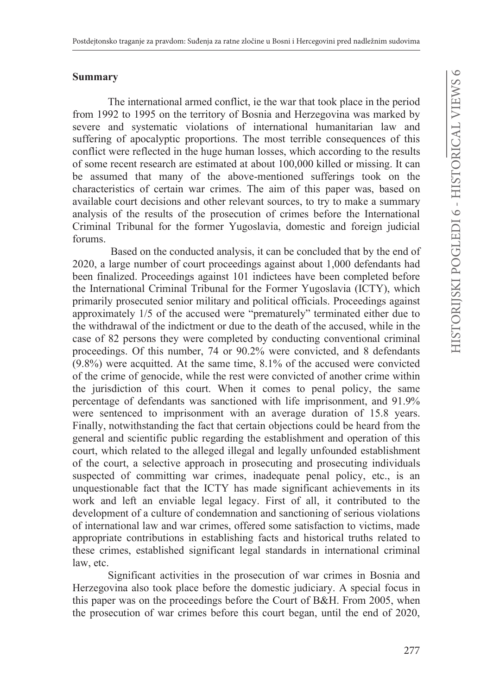#### **Summary**

The international armed conflict, ie the war that took place in the period from 1992 to 1995 on the territory of Bosnia and Herzegovina was marked by severe and systematic violations of international humanitarian law and suffering of apocalyptic proportions. The most terrible consequences of this conflict were reflected in the huge human losses, which according to the results of some recent research are estimated at about 100,000 killed or missing. It can be assumed that many of the above-mentioned sufferings took on the characteristics of certain war crimes. The aim of this paper was, based on available court decisions and other relevant sources, to try to make a summary analysis of the results of the prosecution of crimes before the International Criminal Tribunal for the former Yugoslavia, domestic and foreign judicial forums

Based on the conducted analysis, it can be concluded that by the end of  $2020$ , a large number of court proceedings against about  $1,000$  defendants had been finalized. Proceedings against 101 indictees have been completed before the International Criminal Tribunal for the Former Yugoslavia (ICTY), which primarily prosecuted senior military and political officials. Proceedings against approximately 1/5 of the accused were "prematurely" terminated either due to the withdrawal of the indictment or due to the death of the accused, while in the case of 82 persons they were completed by conducting conventional criminal proceedings. Of this number, 74 or 90.2% were convicted, and 8 defendants  $(9.8\%)$  were acquitted. At the same time,  $8.1\%$  of the accused were convicted of the crime of genocide, while the rest were convicted of another crime within the jurisdiction of this court. When it comes to penal policy, the same percentage of defendants was sanctioned with life imprisonment, and 91.9% were sentenced to imprisonment with an average duration of 15.8 years. Finally, notwithstanding the fact that certain objections could be heard from the general and scientific public regarding the establishment and operation of this court, which related to the alleged illegal and legally unfounded establishment of the court, a selective approach in prosecuting and prosecuting individuals suspected of committing war crimes, inadequate penal policy, etc., is an unquestionable fact that the ICTY has made significant achievements in its work and left an enviable legal legacy. First of all, it contributed to the development of a culture of condemnation and sanctioning of serious violations of international law and war crimes, offered some satisfaction to victims, made appropriate contributions in establishing facts and historical truths related to these crimes, established significant legal standards in international criminal law. etc.

Significant activities in the prosecution of war crimes in Bosnia and Herzegovina also took place before the domestic judiciary. A special focus in this paper was on the proceedings before the Court of B&H. From 2005, when the prosecution of war crimes before this court began, until the end of 2020,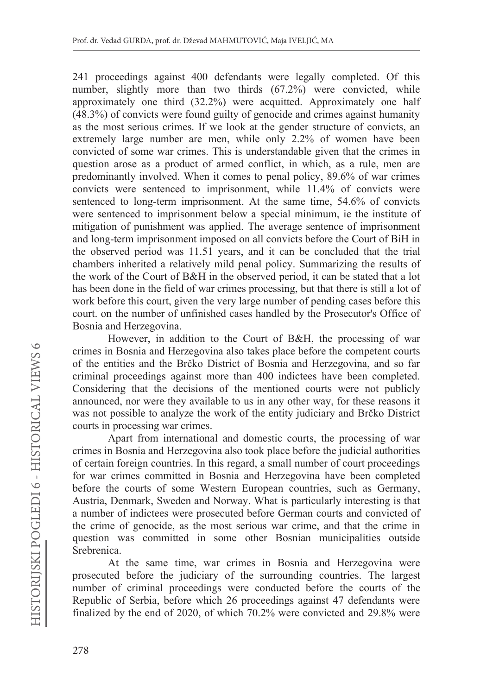241 proceedings against 400 defendants were legally completed. Of this number, slightly more than two thirds (67.2%) were convicted, while approximately one third  $(32.2\%)$  were acquitted. Approximately one half  $(48.3\%)$  of convicts were found guilty of genocide and crimes against humanity as the most serious crimes. If we look at the gender structure of convicts, an extremely large number are men, while only 2.2% of women have been convicted of some war crimes. This is understandable given that the crimes in question arose as a product of armed conflict, in which, as a rule, men are predominantly involved. When it comes to penal policy, 89.6% of war crimes convicts were sentenced to imprisonment, while 11.4% of convicts were sentenced to long-term imprisonment. At the same time, 54.6% of convicts were sentenced to imprisonment below a special minimum, ie the institute of mitigation of punishment was applied. The average sentence of imprisonment and long-term imprisonment imposed on all convicts before the Court of BiH in the observed period was 11.51 years, and it can be concluded that the trial chambers inherited a relatively mild penal policy. Summarizing the results of the work of the Court of B&H in the observed period, it can be stated that a lot has been done in the field of war crimes processing, but that there is still a lot of work before this court, given the very large number of pending cases before this court. on the number of unfinished cases handled by the Prosecutor's Office of Bosnia and Herzegovina.

However, in addition to the Court of B&H, the processing of war crimes in Bosnia and Herzegovina also takes place before the competent courts of the entities and the Brčko District of Bosnia and Herzegovina, and so far criminal proceedings against more than 400 indictees have been completed. Considering that the decisions of the mentioned courts were not publicly announced, nor were they available to us in any other way, for these reasons it was not possible to analyze the work of the entity judiciary and Brčko District courts in processing war crimes.

Apart from international and domestic courts, the processing of war crimes in Bosnia and Herzegovina also took place before the judicial authorities of certain foreign countries. In this regard, a small number of court proceedings for war crimes committed in Bosnia and Herzegovina have been completed before the courts of some Western European countries, such as Germany, Austria, Denmark, Sweden and Norway. What is particularly interesting is that a number of indictees were prosecuted before German courts and convicted of the crime of genocide, as the most serious war crime, and that the crime in question was committed in some other Bosnian municipalities outside Srebrenica.

At the same time, war crimes in Bosnia and Herzegovina were prosecuted before the judiciary of the surrounding countries. The largest number of criminal proceedings were conducted before the courts of the Republic of Serbia, before which 26 proceedings against 47 defendants were finalized by the end of 2020, of which  $70.2\%$  were convicted and 29.8% were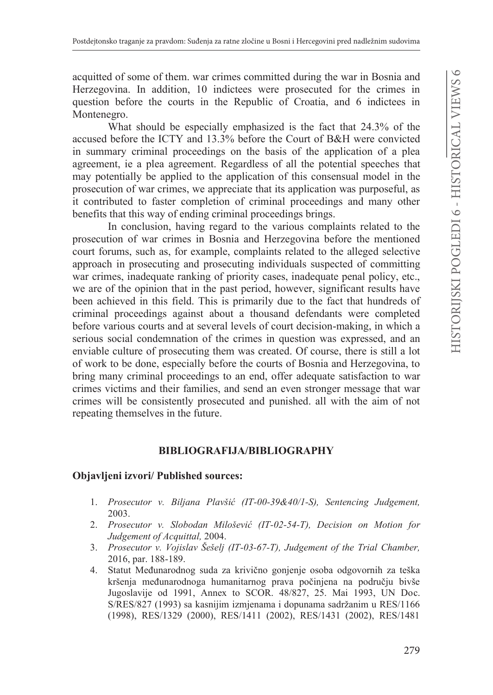acquitted of some of them. war crimes committed during the war in Bosnia and Herzegovina. In addition, 10 indictees were prosecuted for the crimes in question before the courts in the Republic of Croatia, and 6 indictees in Montenegro.

What should be especially emphasized is the fact that  $24.3\%$  of the accused before the ICTY and 13.3% before the Court of B&H were convicted in summary criminal proceedings on the basis of the application of a plea agreement, ie a plea agreement. Regardless of all the potential speeches that may potentially be applied to the application of this consensual model in the prosecution of war crimes, we appreciate that its application was purposeful, as it contributed to faster completion of criminal proceedings and many other benefits that this way of ending criminal proceedings brings.

In conclusion, having regard to the various complaints related to the prosecution of war crimes in Bosnia and Herzegovina before the mentioned court forums, such as, for example, complaints related to the alleged selective approach in prosecuting and prosecuting individuals suspected of committing war crimes, inadequate ranking of priority cases, inadequate penal policy, etc., we are of the opinion that in the past period, however, significant results have been achieved in this field. This is primarily due to the fact that hundreds of criminal proceedings against about a thousand defendants were completed before various courts and at several levels of court decision-making, in which a serious social condemnation of the crimes in question was expressed, and an enviable culture of prosecuting them was created. Of course, there is still a lot of work to be done, especially before the courts of Bosnia and Herzegovina, to bring many criminal proceedings to an end, offer adequate satisfaction to war crimes victims and their families, and send an even stronger message that war crimes will be consistently prosecuted and punished, all with the aim of not repeating themselves in the future.

# $BIBLIOGRAPHI A/BIBLIOGRAPHY$

# **2EMDYOMHQLL]YRUL 3XEOLVKHGVRXUFHV**

- *Prosecutor v. Biljana Plavšiü (IT-00-39&40/1-S), Sentencing Judgement,*  2003.
- *Prosecutor v. Slobodan Miloševiü (IT-02-54-T), Decision on Motion for Judgement of Acquittal,*
- *Prosecutor v. Vojislav Šešelj (IT-03-67-T), Judgement of the Trial Chamber,*  2016, par. 188-189.
- 4. Statut Međunarodnog suda za krivično gonjenje osoba odgovornih za teška kršenja međunarodnoga humanitarnog prava počinjena na području bivše Jugoslavije od 1991, Annex to SCOR. 48/827, 25. Mai 1993, UN Doc. S/RES/827 (1993) sa kasnijim izmjenama i dopunama sadržanim u RES/1166 (1998), RES/1329 (2000), RES/1411 (2002), RES/1431 (2002), RES/1481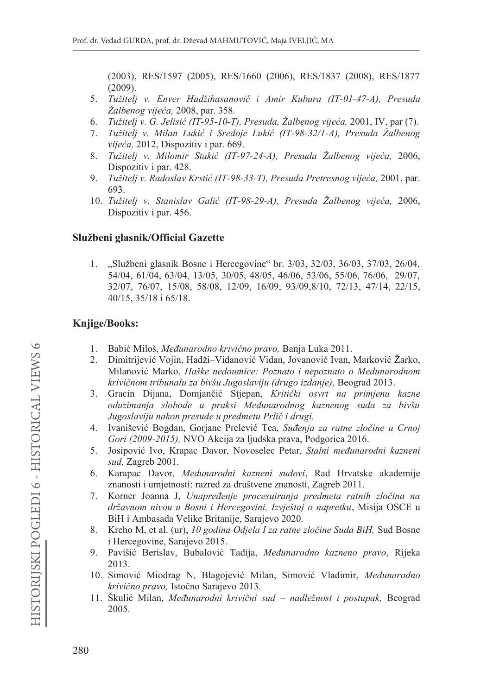(2003), RES/1597 (2005), RES/1660 (2006), RES/1837 (2008), RES/1877  $(2009).$ 

- 5. Tužitelj v. Enver Hadžihasanović i Amir Kubura (IT-01-47-A), Presuda Žalbenog vijeća, 2008. par. 358.
- Tužitelj v. G. Jelisić (IT-95-10-T), Presuda, Žalbenog vijeća, 2001, IV, par (7). 6.
- Tužitelj v. Milan Lukić i Sredoje Lukić (IT-98-32/1-A), Presuda Žalbenog 7. vijeća, 2012, Dispozitiv i par. 669.
- Tužitelj v. Milomir Stakić (IT-97-24-A), Presuda Žalbenog vijeća, 2006, 8. Dispozitiv i par. 428.
- 9. Tužitelj v. Radoslav Krstić (IT-98-33-T), Presuda Pretresnog vijeća, 2001, par. 693.
- 10. Tužitelj v. Stanislav Galić (IT-98-29-A), Presuda Žalbenog vijeća, 2006, Dispozitiv i par. 456.

### Službeni glasnik/Official Gazette

1. "Službeni glasnik Bosne i Hercegovine" br. 3/03, 32/03, 36/03, 37/03, 26/04, 54/04, 61/04, 63/04, 13/05, 30/05, 48/05, 46/06, 53/06, 55/06, 76/06, 29/07, 32/07, 76/07, 15/08, 58/08, 12/09, 16/09, 93/09, 8/10, 72/13, 47/14, 22/15, 40/15, 35/18 i 65/18.

# **Knjige/Books:**

- 1. Babić Miloš, Međunarodno krivično pravo, Banja Luka 2011.
- 2. Dimitrijević Vojin, Hadži–Vidanović Vidan, Jovanović Ivan, Marković Žarko, Milanović Marko, Haške nedoumice: Poznato i nepoznato o Međunarodnom krivičnom tribunalu za bivšu Jugoslaviju (drugo izdanje), Beograd 2013.
- 3. Gracin Dijana, Domjančić Stjepan, Kritički osvrt na primjenu kazne oduzimanja slobode u praksi Međunarodnog kaznenog suda za bivšu Jugoslaviju nakon presude u predmetu Prlić i drugi.
- 4. Ivanišević Bogdan, Gorjanc Prelević Tea, Suđenja za ratne zločine u Crnoj Gori (2009-2015), NVO Akcija za ljudska prava, Podgorica 2016.
- Josipović Ivo, Krapac Davor, Novoselec Petar, Stalni međunarodni kazneni 5. sud, Zagreb 2001.
- Karapac Davor, Međunarodni kazneni sudovi, Rad Hrvatske akademije 6. znanosti i umjetnosti: razred za društvene znanosti, Zagreb 2011.
- 7. Korner Joanna J, Unapređenje procesuiranja predmeta ratnih zločina na državnom nivou u Bosni i Hercegovini, Izvještaj o napretku, Misija OSCE u BiH i Ambasada Velike Britanije, Sarajevo 2020.
- 8. Kreho M, et al. (ur), 10 godina Odjela I za ratne zločine Suda BiH, Sud Bosne i Hercegovine, Sarajevo 2015.
- 9. Pavišić Berislav, Bubalović Tadija, Međunarodno kazneno pravo, Rijeka 2013.
- 10. Simović Miodrag N, Blagojević Milan, Simović Vladimir, Međunarodno krivično pravo, Istočno Sarajevo 2013.
- 11. Škulić Milan, Međunarodni krivični sud nadležnost i postupak, Beograd 2005.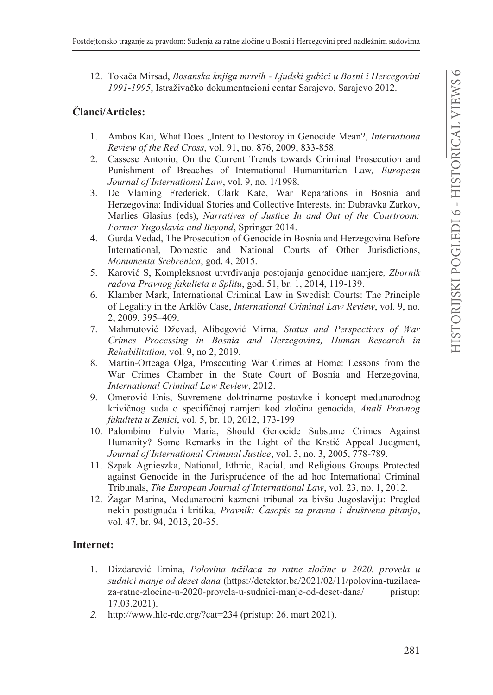12. Tokača Mirsad, Bosanska knjiga mrtvih - Ljudski gubici u Bosni i Hercegovini 1991-1995, Istraživačko dokumentacioni centar Sarajevo, Sarajevo 2012.

# Članci/Articles:

- 1. Ambos Kai, What Does "Intent to Destoroy in Genocide Mean?, *Internationa* Review of the Red Cross, vol. 91, no. 876, 2009, 833-858.
- 2. Cassese Antonio, On the Current Trends towards Criminal Prosecution and Punishment of Breaches of International Humanitarian Law, European Journal of International Law, vol. 9, no. 1/1998.
- 3. De Vlaming Frederiek, Clark Kate, War Reparations in Bosnia and Herzegovina: Individual Stories and Collective Interests, in: Dubravka Zarkov, Marlies Glasius (eds), Narratives of Justice In and Out of the Courtroom: Former Yugoslavia and Beyond, Springer 2014.
- 4. Gurda Vedad, The Prosecution of Genocide in Bosnia and Herzegovina Before International, Domestic and National Courts of Other Jurisdictions, Monumenta Srebrenica, god. 4, 2015.
- 5. Karović S, Kompleksnost utvrđivanja postojanja genocidne namjere, Zbornik radova Pravnog fakulteta u Splitu, god. 51, br. 1, 2014, 119-139.
- 6. Klamber Mark, International Criminal Law in Swedish Courts: The Principle of Legality in the Arklöv Case, *International Criminal Law Review*, vol. 9, no. 2, 2009, 395-409.
- 7. Mahmutović Dževad, Alibegović Mirna, Status and Perspectives of War Crimes Processing in Bosnia and Herzegovina, Human Research in Rehabilitation, vol. 9, no 2, 2019.
- 8. Martin-Orteaga Olga, Prosecuting War Crimes at Home: Lessons from the War Crimes Chamber in the State Court of Bosnia and Herzegovina, International Criminal Law Review, 2012.
- 9. Omerović Enis, Suvremene doktrinarne postavke i koncept međunarodnog krivičnog suda o specifičnoj namjeri kod zločina genocida, Anali Pravnog fakulteta u Zenici, vol. 5, br. 10, 2012, 173-199
- 10. Palombino Fulvio Maria, Should Genocide Subsume Crimes Against Humanity? Some Remarks in the Light of the Krstić Appeal Judgment, Journal of International Criminal Justice, vol. 3, no. 3, 2005, 778-789.
- 11. Szpak Agnieszka, National, Ethnic, Racial, and Religious Groups Protected against Genocide in the Jurisprudence of the ad hoc International Criminal Tribunals, The European Journal of International Law, vol. 23, no. 1, 2012.
- 12. Žagar Marina, Međunarodni kazneni tribunal za bivšu Jugoslaviju: Pregled nekih postignuća i kritika, Pravnik: Časopis za pravna i društvena pitanja, vol. 47, br. 94, 2013, 20-35.

# **Internet:**

- 1. Dizdarević Emina, Polovina tužilaca za ratne zločine u 2020. provela u sudnici manje od deset dana (https://detektor.ba/2021/02/11/polovina-tuzilacaza-ratne-zlocine-u-2020-provela-u-sudnici-manje-od-deset-dana/ pristup:  $17.03.2021$ ).
- 2. http://www.hlc-rdc.org/?cat=234 (pristup: 26. mart 2021).